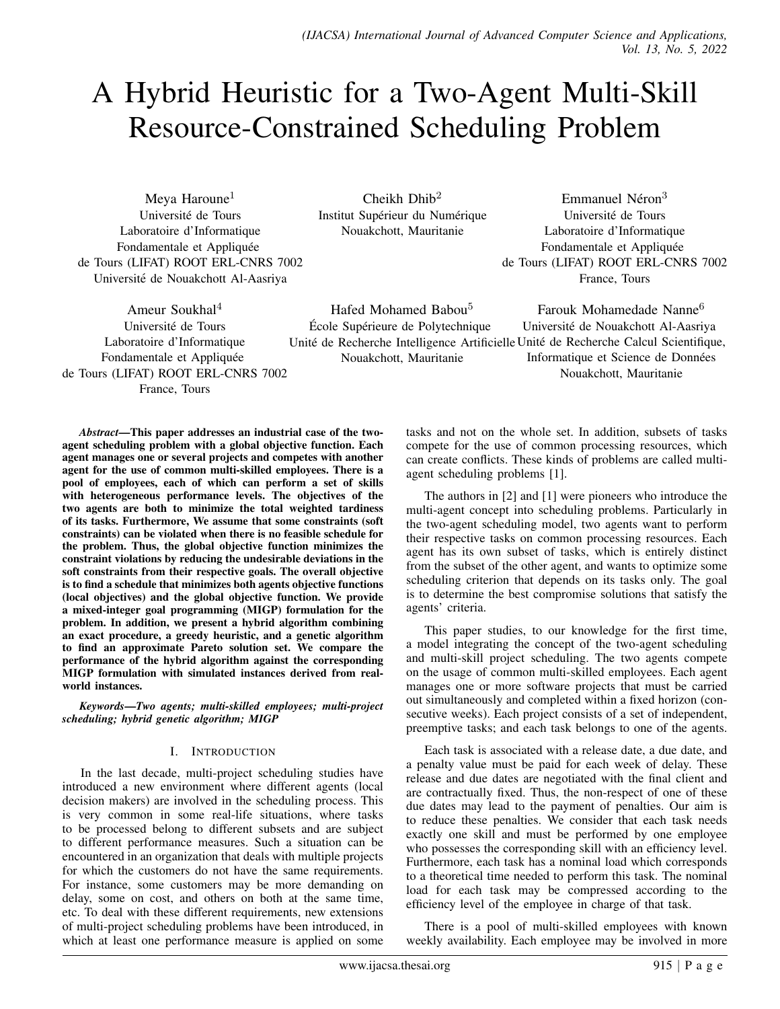Unité de Recherche Intelligence Artificielle Unité de Recherche Calcul Scientifique,

# A Hybrid Heuristic for a Two-Agent Multi-Skill Resource-Constrained Scheduling Problem

Meya Haroune<sup>1</sup> Universite de Tours ´ Laboratoire d'Informatique Fondamentale et Appliquée de Tours (LIFAT) ROOT ERL-CNRS 7002 Universite de Nouakchott Al-Aasriya ´

 $Cheikh Dhih<sup>2</sup>$ Institut Supérieur du Numérique Nouakchott, Mauritanie

Hafed Mohamed Babou<sup>5</sup> École Supérieure de Polytechnique

Nouakchott, Mauritanie

Emmanuel Néron<sup>3</sup> Université de Tours Laboratoire d'Informatique Fondamentale et Appliquée de Tours (LIFAT) ROOT ERL-CNRS 7002 France, Tours

Farouk Mohamedade Nanne<sup>6</sup> Universite de Nouakchott Al-Aasriya ´

Informatique et Science de Données Nouakchott, Mauritanie

Ameur Soukhal<sup>4</sup> Université de Tours Laboratoire d'Informatique Fondamentale et Appliquée de Tours (LIFAT) ROOT ERL-CNRS 7002

France, Tours

*Abstract*—This paper addresses an industrial case of the twoagent scheduling problem with a global objective function. Each agent manages one or several projects and competes with another agent for the use of common multi-skilled employees. There is a pool of employees, each of which can perform a set of skills with heterogeneous performance levels. The objectives of the two agents are both to minimize the total weighted tardiness of its tasks. Furthermore, We assume that some constraints (soft constraints) can be violated when there is no feasible schedule for the problem. Thus, the global objective function minimizes the constraint violations by reducing the undesirable deviations in the soft constraints from their respective goals. The overall objective is to find a schedule that minimizes both agents objective functions (local objectives) and the global objective function. We provide a mixed-integer goal programming (MIGP) formulation for the problem. In addition, we present a hybrid algorithm combining an exact procedure, a greedy heuristic, and a genetic algorithm to find an approximate Pareto solution set. We compare the performance of the hybrid algorithm against the corresponding MIGP formulation with simulated instances derived from realworld instances.

*Keywords*—*Two agents; multi-skilled employees; multi-project scheduling; hybrid genetic algorithm; MIGP*

# I. INTRODUCTION

In the last decade, multi-project scheduling studies have introduced a new environment where different agents (local decision makers) are involved in the scheduling process. This is very common in some real-life situations, where tasks to be processed belong to different subsets and are subject to different performance measures. Such a situation can be encountered in an organization that deals with multiple projects for which the customers do not have the same requirements. For instance, some customers may be more demanding on delay, some on cost, and others on both at the same time, etc. To deal with these different requirements, new extensions of multi-project scheduling problems have been introduced, in which at least one performance measure is applied on some

tasks and not on the whole set. In addition, subsets of tasks compete for the use of common processing resources, which can create conflicts. These kinds of problems are called multiagent scheduling problems [1].

The authors in [2] and [1] were pioneers who introduce the multi-agent concept into scheduling problems. Particularly in the two-agent scheduling model, two agents want to perform their respective tasks on common processing resources. Each agent has its own subset of tasks, which is entirely distinct from the subset of the other agent, and wants to optimize some scheduling criterion that depends on its tasks only. The goal is to determine the best compromise solutions that satisfy the agents' criteria.

This paper studies, to our knowledge for the first time, a model integrating the concept of the two-agent scheduling and multi-skill project scheduling. The two agents compete on the usage of common multi-skilled employees. Each agent manages one or more software projects that must be carried out simultaneously and completed within a fixed horizon (consecutive weeks). Each project consists of a set of independent, preemptive tasks; and each task belongs to one of the agents.

Each task is associated with a release date, a due date, and a penalty value must be paid for each week of delay. These release and due dates are negotiated with the final client and are contractually fixed. Thus, the non-respect of one of these due dates may lead to the payment of penalties. Our aim is to reduce these penalties. We consider that each task needs exactly one skill and must be performed by one employee who possesses the corresponding skill with an efficiency level. Furthermore, each task has a nominal load which corresponds to a theoretical time needed to perform this task. The nominal load for each task may be compressed according to the efficiency level of the employee in charge of that task.

There is a pool of multi-skilled employees with known weekly availability. Each employee may be involved in more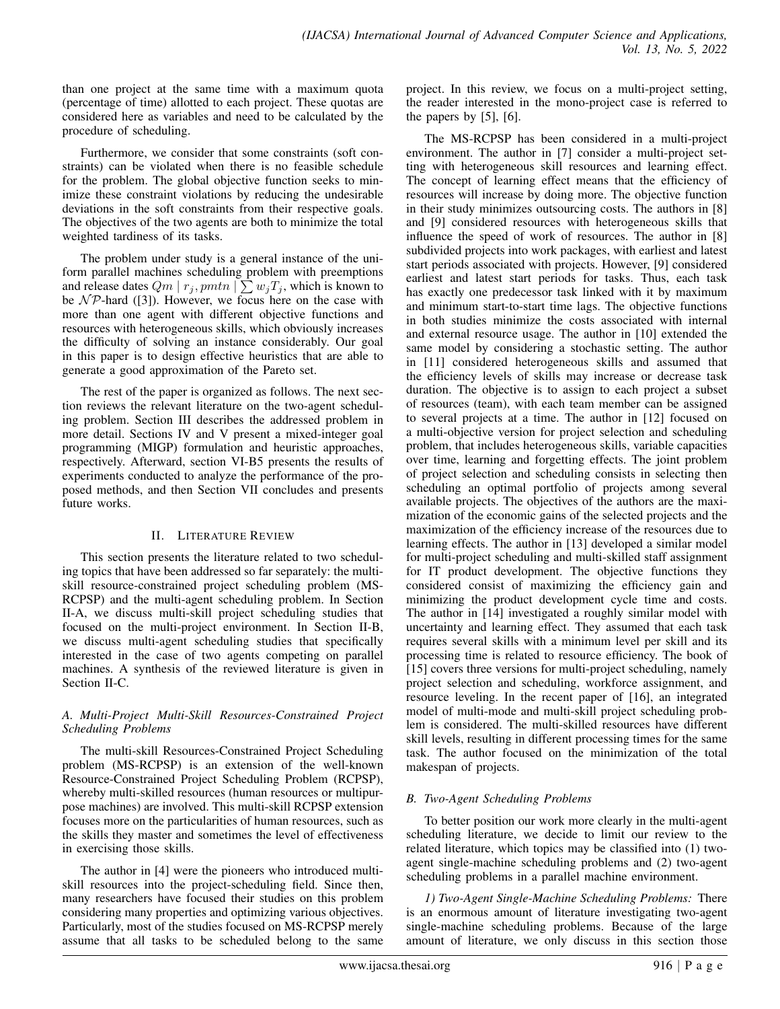than one project at the same time with a maximum quota (percentage of time) allotted to each project. These quotas are considered here as variables and need to be calculated by the procedure of scheduling.

Furthermore, we consider that some constraints (soft constraints) can be violated when there is no feasible schedule for the problem. The global objective function seeks to minimize these constraint violations by reducing the undesirable deviations in the soft constraints from their respective goals. The objectives of the two agents are both to minimize the total weighted tardiness of its tasks.

The problem under study is a general instance of the uniform parallel machines scheduling problem with preemptions and release dates  $Qm \mid r_j, pmtn \mid \sum w_j T_j$ , which is known to be  $N \mathcal{P}$ -hard ([3]). However, we focus here on the case with more than one agent with different objective functions and resources with heterogeneous skills, which obviously increases the difficulty of solving an instance considerably. Our goal in this paper is to design effective heuristics that are able to generate a good approximation of the Pareto set.

The rest of the paper is organized as follows. The next section reviews the relevant literature on the two-agent scheduling problem. Section III describes the addressed problem in more detail. Sections IV and V present a mixed-integer goal programming (MIGP) formulation and heuristic approaches, respectively. Afterward, section VI-B5 presents the results of experiments conducted to analyze the performance of the proposed methods, and then Section VII concludes and presents future works.

# II. LITERATURE REVIEW

This section presents the literature related to two scheduling topics that have been addressed so far separately: the multiskill resource-constrained project scheduling problem (MS-RCPSP) and the multi-agent scheduling problem. In Section II-A, we discuss multi-skill project scheduling studies that focused on the multi-project environment. In Section II-B, we discuss multi-agent scheduling studies that specifically interested in the case of two agents competing on parallel machines. A synthesis of the reviewed literature is given in Section II-C.

# *A. Multi-Project Multi-Skill Resources-Constrained Project Scheduling Problems*

The multi-skill Resources-Constrained Project Scheduling problem (MS-RCPSP) is an extension of the well-known Resource-Constrained Project Scheduling Problem (RCPSP), whereby multi-skilled resources (human resources or multipurpose machines) are involved. This multi-skill RCPSP extension focuses more on the particularities of human resources, such as the skills they master and sometimes the level of effectiveness in exercising those skills.

The author in [4] were the pioneers who introduced multiskill resources into the project-scheduling field. Since then, many researchers have focused their studies on this problem considering many properties and optimizing various objectives. Particularly, most of the studies focused on MS-RCPSP merely assume that all tasks to be scheduled belong to the same

project. In this review, we focus on a multi-project setting, the reader interested in the mono-project case is referred to the papers by  $[5]$ ,  $[6]$ .

The MS-RCPSP has been considered in a multi-project environment. The author in [7] consider a multi-project setting with heterogeneous skill resources and learning effect. The concept of learning effect means that the efficiency of resources will increase by doing more. The objective function in their study minimizes outsourcing costs. The authors in [8] and [9] considered resources with heterogeneous skills that influence the speed of work of resources. The author in [8] subdivided projects into work packages, with earliest and latest start periods associated with projects. However, [9] considered earliest and latest start periods for tasks. Thus, each task has exactly one predecessor task linked with it by maximum and minimum start-to-start time lags. The objective functions in both studies minimize the costs associated with internal and external resource usage. The author in [10] extended the same model by considering a stochastic setting. The author in [11] considered heterogeneous skills and assumed that the efficiency levels of skills may increase or decrease task duration. The objective is to assign to each project a subset of resources (team), with each team member can be assigned to several projects at a time. The author in [12] focused on a multi-objective version for project selection and scheduling problem, that includes heterogeneous skills, variable capacities over time, learning and forgetting effects. The joint problem of project selection and scheduling consists in selecting then scheduling an optimal portfolio of projects among several available projects. The objectives of the authors are the maximization of the economic gains of the selected projects and the maximization of the efficiency increase of the resources due to learning effects. The author in [13] developed a similar model for multi-project scheduling and multi-skilled staff assignment for IT product development. The objective functions they considered consist of maximizing the efficiency gain and minimizing the product development cycle time and costs. The author in [14] investigated a roughly similar model with uncertainty and learning effect. They assumed that each task requires several skills with a minimum level per skill and its processing time is related to resource efficiency. The book of [15] covers three versions for multi-project scheduling, namely project selection and scheduling, workforce assignment, and resource leveling. In the recent paper of [16], an integrated model of multi-mode and multi-skill project scheduling problem is considered. The multi-skilled resources have different skill levels, resulting in different processing times for the same task. The author focused on the minimization of the total makespan of projects.

# *B. Two-Agent Scheduling Problems*

To better position our work more clearly in the multi-agent scheduling literature, we decide to limit our review to the related literature, which topics may be classified into (1) twoagent single-machine scheduling problems and (2) two-agent scheduling problems in a parallel machine environment.

*1) Two-Agent Single-Machine Scheduling Problems:* There is an enormous amount of literature investigating two-agent single-machine scheduling problems. Because of the large amount of literature, we only discuss in this section those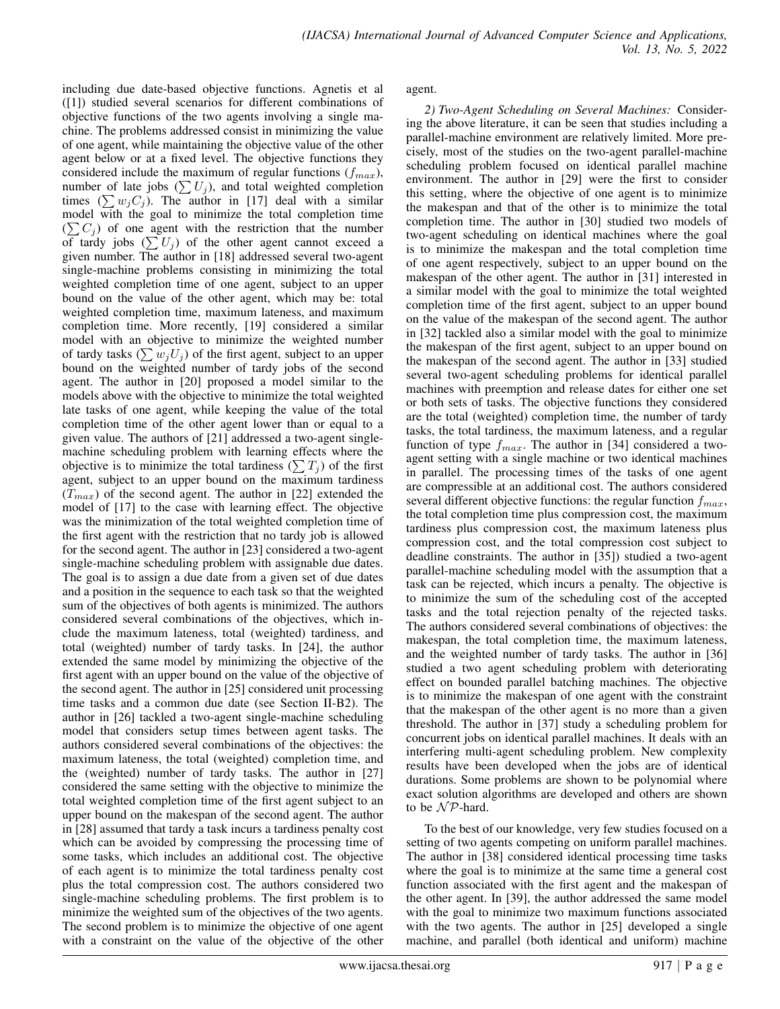including due date-based objective functions. Agnetis et al ([1]) studied several scenarios for different combinations of objective functions of the two agents involving a single machine. The problems addressed consist in minimizing the value of one agent, while maintaining the objective value of the other agent below or at a fixed level. The objective functions they considered include the maximum of regular functions  $(f_{max})$ , number of late jobs  $(\sum U_j)$ , and total weighted completion times  $(\sum w_j C_j)$ . The author in [17] deal with a similar model with the goal to minimize the total completion time  $(\sum C_i)$  of one agent with the restriction that the number of tardy jobs  $(\sum U_j)$  of the other agent cannot exceed a given number. The author in [18] addressed several two-agent single-machine problems consisting in minimizing the total weighted completion time of one agent, subject to an upper bound on the value of the other agent, which may be: total weighted completion time, maximum lateness, and maximum completion time. More recently, [19] considered a similar model with an objective to minimize the weighted number of tardy tasks  $(\sum w_j U_j)$  of the first agent, subject to an upper bound on the weighted number of tardy jobs of the second agent. The author in [20] proposed a model similar to the models above with the objective to minimize the total weighted late tasks of one agent, while keeping the value of the total completion time of the other agent lower than or equal to a given value. The authors of [21] addressed a two-agent singlemachine scheduling problem with learning effects where the objective is to minimize the total tardiness  $(\sum T_i)$  of the first agent, subject to an upper bound on the maximum tardiness  $(T_{max})$  of the second agent. The author in [22] extended the model of [17] to the case with learning effect. The objective was the minimization of the total weighted completion time of the first agent with the restriction that no tardy job is allowed for the second agent. The author in [23] considered a two-agent single-machine scheduling problem with assignable due dates. The goal is to assign a due date from a given set of due dates and a position in the sequence to each task so that the weighted sum of the objectives of both agents is minimized. The authors considered several combinations of the objectives, which include the maximum lateness, total (weighted) tardiness, and total (weighted) number of tardy tasks. In [24], the author extended the same model by minimizing the objective of the first agent with an upper bound on the value of the objective of the second agent. The author in [25] considered unit processing time tasks and a common due date (see Section II-B2). The author in [26] tackled a two-agent single-machine scheduling model that considers setup times between agent tasks. The authors considered several combinations of the objectives: the maximum lateness, the total (weighted) completion time, and the (weighted) number of tardy tasks. The author in [27] considered the same setting with the objective to minimize the total weighted completion time of the first agent subject to an upper bound on the makespan of the second agent. The author in [28] assumed that tardy a task incurs a tardiness penalty cost which can be avoided by compressing the processing time of some tasks, which includes an additional cost. The objective of each agent is to minimize the total tardiness penalty cost plus the total compression cost. The authors considered two single-machine scheduling problems. The first problem is to minimize the weighted sum of the objectives of the two agents. The second problem is to minimize the objective of one agent with a constraint on the value of the objective of the other

agent.

*2) Two-Agent Scheduling on Several Machines:* Considering the above literature, it can be seen that studies including a parallel-machine environment are relatively limited. More precisely, most of the studies on the two-agent parallel-machine scheduling problem focused on identical parallel machine environment. The author in [29] were the first to consider this setting, where the objective of one agent is to minimize the makespan and that of the other is to minimize the total completion time. The author in [30] studied two models of two-agent scheduling on identical machines where the goal is to minimize the makespan and the total completion time of one agent respectively, subject to an upper bound on the makespan of the other agent. The author in [31] interested in a similar model with the goal to minimize the total weighted completion time of the first agent, subject to an upper bound on the value of the makespan of the second agent. The author in [32] tackled also a similar model with the goal to minimize the makespan of the first agent, subject to an upper bound on the makespan of the second agent. The author in [33] studied several two-agent scheduling problems for identical parallel machines with preemption and release dates for either one set or both sets of tasks. The objective functions they considered are the total (weighted) completion time, the number of tardy tasks, the total tardiness, the maximum lateness, and a regular function of type  $f_{max}$ . The author in [34] considered a twoagent setting with a single machine or two identical machines in parallel. The processing times of the tasks of one agent are compressible at an additional cost. The authors considered several different objective functions: the regular function  $f_{max}$ , the total completion time plus compression cost, the maximum tardiness plus compression cost, the maximum lateness plus compression cost, and the total compression cost subject to deadline constraints. The author in [35]) studied a two-agent parallel-machine scheduling model with the assumption that a task can be rejected, which incurs a penalty. The objective is to minimize the sum of the scheduling cost of the accepted tasks and the total rejection penalty of the rejected tasks. The authors considered several combinations of objectives: the makespan, the total completion time, the maximum lateness, and the weighted number of tardy tasks. The author in [36] studied a two agent scheduling problem with deteriorating effect on bounded parallel batching machines. The objective is to minimize the makespan of one agent with the constraint that the makespan of the other agent is no more than a given threshold. The author in [37] study a scheduling problem for concurrent jobs on identical parallel machines. It deals with an interfering multi-agent scheduling problem. New complexity results have been developed when the jobs are of identical durations. Some problems are shown to be polynomial where exact solution algorithms are developed and others are shown to be  $N \mathcal{P}$ -hard.

To the best of our knowledge, very few studies focused on a setting of two agents competing on uniform parallel machines. The author in [38] considered identical processing time tasks where the goal is to minimize at the same time a general cost function associated with the first agent and the makespan of the other agent. In [39], the author addressed the same model with the goal to minimize two maximum functions associated with the two agents. The author in [25] developed a single machine, and parallel (both identical and uniform) machine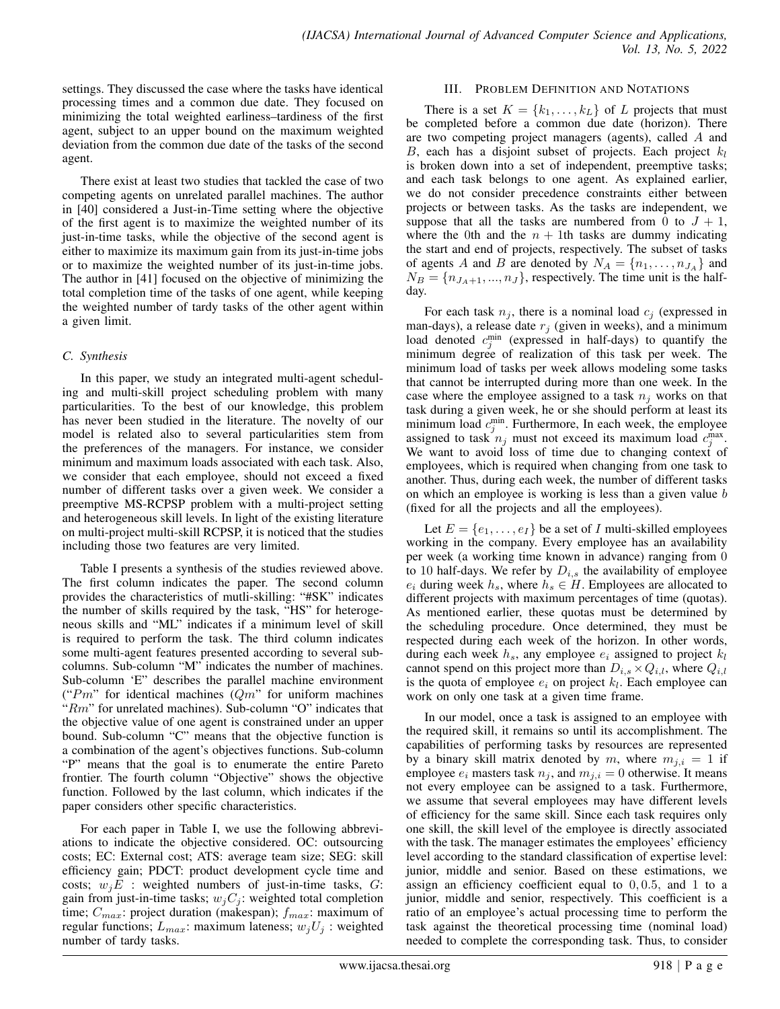settings. They discussed the case where the tasks have identical processing times and a common due date. They focused on minimizing the total weighted earliness–tardiness of the first agent, subject to an upper bound on the maximum weighted deviation from the common due date of the tasks of the second agent.

There exist at least two studies that tackled the case of two competing agents on unrelated parallel machines. The author in [40] considered a Just-in-Time setting where the objective of the first agent is to maximize the weighted number of its just-in-time tasks, while the objective of the second agent is either to maximize its maximum gain from its just-in-time jobs or to maximize the weighted number of its just-in-time jobs. The author in [41] focused on the objective of minimizing the total completion time of the tasks of one agent, while keeping the weighted number of tardy tasks of the other agent within a given limit.

# *C. Synthesis*

In this paper, we study an integrated multi-agent scheduling and multi-skill project scheduling problem with many particularities. To the best of our knowledge, this problem has never been studied in the literature. The novelty of our model is related also to several particularities stem from the preferences of the managers. For instance, we consider minimum and maximum loads associated with each task. Also, we consider that each employee, should not exceed a fixed number of different tasks over a given week. We consider a preemptive MS-RCPSP problem with a multi-project setting and heterogeneous skill levels. In light of the existing literature on multi-project multi-skill RCPSP, it is noticed that the studies including those two features are very limited.

Table I presents a synthesis of the studies reviewed above. The first column indicates the paper. The second column provides the characteristics of mutli-skilling: "#SK" indicates the number of skills required by the task, "HS" for heterogeneous skills and "ML" indicates if a minimum level of skill is required to perform the task. The third column indicates some multi-agent features presented according to several subcolumns. Sub-column "M" indicates the number of machines. Sub-column 'E" describes the parallel machine environment (" $Pm$ " for identical machines ( $Qm$ " for uniform machines " $Rm$ " for unrelated machines). Sub-column "O" indicates that the objective value of one agent is constrained under an upper bound. Sub-column "C" means that the objective function is a combination of the agent's objectives functions. Sub-column "P" means that the goal is to enumerate the entire Pareto frontier. The fourth column "Objective" shows the objective function. Followed by the last column, which indicates if the paper considers other specific characteristics.

For each paper in Table I, we use the following abbreviations to indicate the objective considered. OC: outsourcing costs; EC: External cost; ATS: average team size; SEG: skill efficiency gain; PDCT: product development cycle time and costs;  $w_i E$  : weighted numbers of just-in-time tasks,  $G$ : gain from just-in-time tasks;  $w_jC_j$ : weighted total completion time;  $C_{max}$ : project duration (makespan);  $f_{max}$ : maximum of regular functions;  $L_{max}$ : maximum lateness;  $w_j U_j$ : weighted number of tardy tasks.

## III. PROBLEM DEFINITION AND NOTATIONS

There is a set  $K = \{k_1, \ldots, k_L\}$  of L projects that must be completed before a common due date (horizon). There are two competing project managers (agents), called A and B, each has a disjoint subset of projects. Each project  $k_l$ is broken down into a set of independent, preemptive tasks; and each task belongs to one agent. As explained earlier, we do not consider precedence constraints either between projects or between tasks. As the tasks are independent, we suppose that all the tasks are numbered from 0 to  $J + 1$ , where the 0th and the  $n + 1$ th tasks are dummy indicating the start and end of projects, respectively. The subset of tasks of agents A and B are denoted by  $N_A = \{n_1, \ldots, n_{J_A}\}\$ and  $N_B = \{n_{J_A+1}, ..., n_J\}$ , respectively. The time unit is the halfday.

For each task  $n_j$ , there is a nominal load  $c_j$  (expressed in man-days), a release date  $r_i$  (given in weeks), and a minimum load denoted  $c_j^{\min}$  (expressed in half-days) to quantify the minimum degree of realization of this task per week. The minimum load of tasks per week allows modeling some tasks that cannot be interrupted during more than one week. In the case where the employee assigned to a task  $n_i$  works on that task during a given week, he or she should perform at least its minimum load  $c_j^{\text{min}}$ . Furthermore, In each week, the employee assigned to task  $n_j$  must not exceed its maximum load  $c_j^{\text{max}}$ . We want to avoid loss of time due to changing context of employees, which is required when changing from one task to another. Thus, during each week, the number of different tasks on which an employee is working is less than a given value b (fixed for all the projects and all the employees).

Let  $E = \{e_1, \ldots, e_I\}$  be a set of *I* multi-skilled employees working in the company. Every employee has an availability per week (a working time known in advance) ranging from 0 to 10 half-days. We refer by  $D_{i,s}$  the availability of employee  $e_i$  during week  $h_s$ , where  $h_s \in H$ . Employees are allocated to different projects with maximum percentages of time (quotas). As mentioned earlier, these quotas must be determined by the scheduling procedure. Once determined, they must be respected during each week of the horizon. In other words, during each week  $h_s$ , any employee  $e_i$  assigned to project  $k_l$ cannot spend on this project more than  $D_{i,s} \times Q_{i,l}$ , where  $Q_{i,l}$ is the quota of employee  $e_i$  on project  $k_l$ . Each employee can work on only one task at a given time frame.

In our model, once a task is assigned to an employee with the required skill, it remains so until its accomplishment. The capabilities of performing tasks by resources are represented by a binary skill matrix denoted by m, where  $m_{i,i} = 1$  if employee  $e_i$  masters task  $n_j$ , and  $m_{j,i} = 0$  otherwise. It means not every employee can be assigned to a task. Furthermore, we assume that several employees may have different levels of efficiency for the same skill. Since each task requires only one skill, the skill level of the employee is directly associated with the task. The manager estimates the employees' efficiency level according to the standard classification of expertise level: junior, middle and senior. Based on these estimations, we assign an efficiency coefficient equal to 0, 0.5, and 1 to a junior, middle and senior, respectively. This coefficient is a ratio of an employee's actual processing time to perform the task against the theoretical processing time (nominal load) needed to complete the corresponding task. Thus, to consider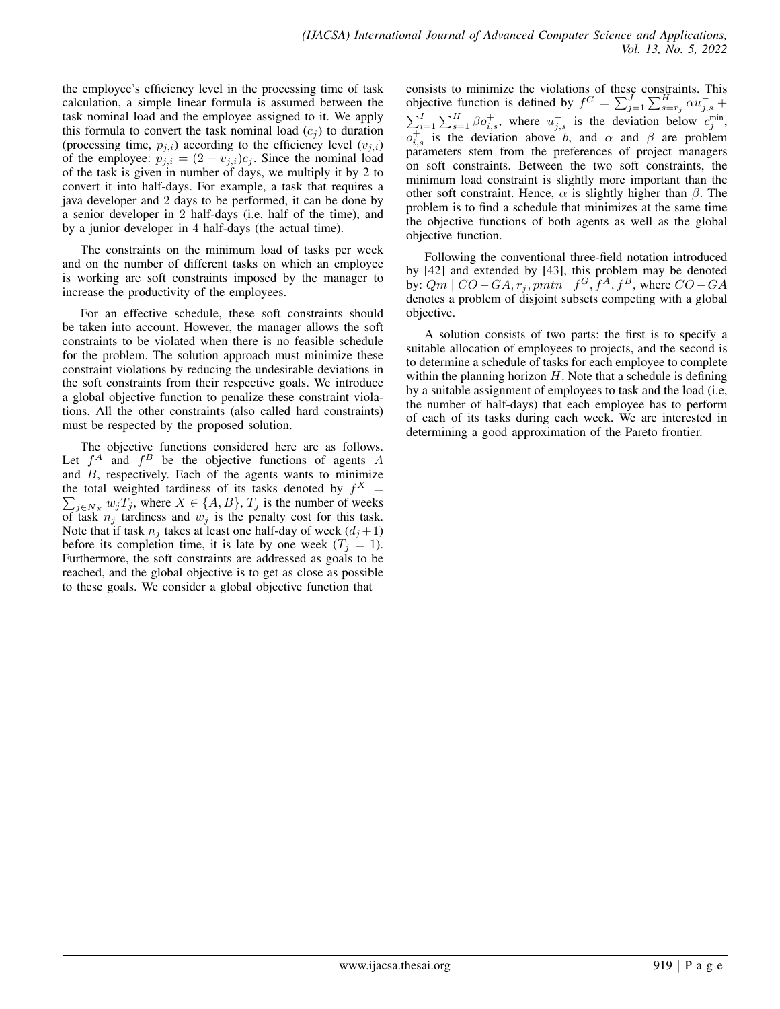the employee's efficiency level in the processing time of task calculation, a simple linear formula is assumed between the task nominal load and the employee assigned to it. We apply this formula to convert the task nominal load  $(c_i)$  to duration (processing time,  $p_{j,i}$ ) according to the efficiency level  $(v_{j,i})$ of the employee:  $p_{j,i} = (2 - v_{j,i})c_j$ . Since the nominal load of the task is given in number of days, we multiply it by 2 to convert it into half-days. For example, a task that requires a java developer and 2 days to be performed, it can be done by a senior developer in 2 half-days (i.e. half of the time), and by a junior developer in 4 half-days (the actual time).

The constraints on the minimum load of tasks per week and on the number of different tasks on which an employee is working are soft constraints imposed by the manager to increase the productivity of the employees.

For an effective schedule, these soft constraints should be taken into account. However, the manager allows the soft constraints to be violated when there is no feasible schedule for the problem. The solution approach must minimize these constraint violations by reducing the undesirable deviations in the soft constraints from their respective goals. We introduce a global objective function to penalize these constraint violations. All the other constraints (also called hard constraints) must be respected by the proposed solution.

The objective functions considered here are as follows. Let  $f^A$  and  $f^B$  be the objective functions of agents A and  $B$ , respectively. Each of the agents wants to minimize the total weighted tardiness of its tasks denoted by  $f^X$  =  $\sum_{j \in N_X} w_j T_j$ , where  $X \in \{A, B\}$ ,  $T_j$  is the number of weeks of task  $n_j$  tardiness and  $w_j$  is the penalty cost for this task. Note that if task  $n_j$  takes at least one half-day of week  $(d_j+1)$ before its completion time, it is late by one week  $(T<sub>j</sub> = 1)$ . Furthermore, the soft constraints are addressed as goals to be reached, and the global objective is to get as close as possible to these goals. We consider a global objective function that

consists to minimize the violations of these constraints. This objective function is defined by  $f^G = \sum_{j=1}^{J} \sum_{s=r_j}^{H} \alpha u_{j,s}^- +$  $\sum_{i=1}^{I} \sum_{s=1}^{H} \beta o_{i,s}^{+}$ , where  $u_{j,s}^{-}$  is the deviation below  $c_j^{\min}$ ,  $o_{i,s}^+$  is the deviation above b, and  $\alpha$  and  $\beta$  are problem parameters stem from the preferences of project managers on soft constraints. Between the two soft constraints, the minimum load constraint is slightly more important than the other soft constraint. Hence,  $\alpha$  is slightly higher than  $\beta$ . The problem is to find a schedule that minimizes at the same time the objective functions of both agents as well as the global objective function.

Following the conventional three-field notation introduced by [42] and extended by [43], this problem may be denoted by:  $Qm \mid CO-GA, r_j, pmtn \mid f^G, f^A, f^B$ , where  $CO-GA$ denotes a problem of disjoint subsets competing with a global objective.

A solution consists of two parts: the first is to specify a suitable allocation of employees to projects, and the second is to determine a schedule of tasks for each employee to complete within the planning horizon  $H$ . Note that a schedule is defining by a suitable assignment of employees to task and the load (i.e, the number of half-days) that each employee has to perform of each of its tasks during each week. We are interested in determining a good approximation of the Pareto frontier.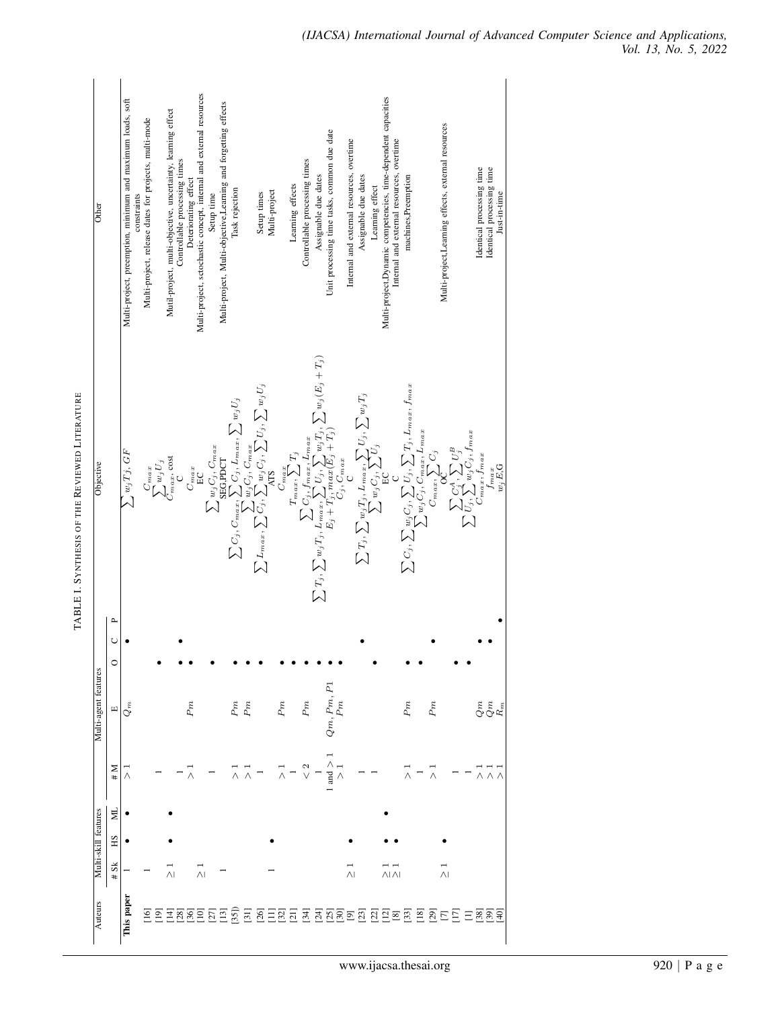| Other                |                         | Multi-project, preemption, minimum and maximum loads, soft<br>constraints | Multi-project, release dates for projects, multi-mode | Mutil-project, multi-objective, uncertainty, learning effect | Controllable processing times<br>Deteriorating effect | Multi-project, sctochastic concept, internal and external resources | Setup time                       | Multi-project, Multi-objective, Learning and forgetting effects<br>Task rejection |       | Setup times                                                                                                            | Multi-project                                                                                                                                                                                                                                                                                                                                                                        | Learning effects | Controllable processing times | Assignable due dates | Unit processing time tasks, common due date | Internal and external resources, overtime | Assignable due dates                                                     | Learning effect | Multi-project, Dynamic competencies, time-dependent capacities<br>Internal and external resources, overtime | machines, Preemption                         |          |                                                                                                                    | Multi-project, Learning effects, external resources |                                                                                                                      | Identical processing time | Identical processing time<br>Just-in-time                                               |
|----------------------|-------------------------|---------------------------------------------------------------------------|-------------------------------------------------------|--------------------------------------------------------------|-------------------------------------------------------|---------------------------------------------------------------------|----------------------------------|-----------------------------------------------------------------------------------|-------|------------------------------------------------------------------------------------------------------------------------|--------------------------------------------------------------------------------------------------------------------------------------------------------------------------------------------------------------------------------------------------------------------------------------------------------------------------------------------------------------------------------------|------------------|-------------------------------|----------------------|---------------------------------------------|-------------------------------------------|--------------------------------------------------------------------------|-----------------|-------------------------------------------------------------------------------------------------------------|----------------------------------------------|----------|--------------------------------------------------------------------------------------------------------------------|-----------------------------------------------------|----------------------------------------------------------------------------------------------------------------------|---------------------------|-----------------------------------------------------------------------------------------|
| Objective            |                         | $\sum w_jTj,\,GF$                                                         | $\sum_{C_{max}, \text{ cost}}^{C_{max}}$              |                                                              | $C_{max}$                                             | $E$ C                                                               | $\sum w_j C_j, C_{max}$ seg.port |                                                                                   |       | $\sum C_j, C_{max}, \sum G_j, L_{max}, \sum w_j U_j$<br>$\sum L_{max}, \sum G_j, \sum w_j G_j, \sum U_j, \sum w_j U_j$ | $\label{eq:constr} \begin{split} \mathcal{L} \\ \sum T_j, \sum w_j T_j, \frac{\sum G_{j}^{\alpha} f_{nax}}{E_j + x_{i}} \sum_{j=0, j \in I_j} T_j \\ \sum T_j, \sum w_j T_j, \frac{\sum G_{j}^{\alpha} f_{nax}}{E_j + x_{j}} \frac{F_{nax}}{max} \sum_{j=0, j \in I_j} T_j, \sum w_j \left(E_j + T_j\right) \\ E_j + T_j, \max & G_{j}, \zeta_{nax} \\ \sum_{m}, \tau_i \end{split}$ |                  |                               |                      |                                             |                                           | $\sum T_j, \sum w_j T_j, L_{max}, \sum U_j, \sum w_j T_j \ \sum w_j T_j$ |                 |                                                                                                             |                                              |          | $\sum C_j, \sum w_j C_j, \sum U_j, \sum T_j, L_{max}, f_{max}$<br>$\sum C_{max}, \sum_{max} C_j, C_{max}, L_{max}$ |                                                     | $\sum \limits_{\text{Cmax}}\sum\limits_{j}^{C_A^{\hat{A}},\sum\limits_{j}U_{j}^{\hat{B}}}U_j^{\hat{B}}_{\text{max}}$ |                           | $f_{max}$<br>$w_j E, G$                                                                 |
|                      | Α,<br>$\cup$<br>$\circ$ |                                                                           |                                                       |                                                              |                                                       |                                                                     |                                  |                                                                                   |       |                                                                                                                        |                                                                                                                                                                                                                                                                                                                                                                                      |                  |                               |                      |                                             |                                           |                                                                          |                 |                                                                                                             |                                              |          |                                                                                                                    |                                                     |                                                                                                                      |                           |                                                                                         |
| Multi-agent features | $\Xi$                   | $Q_m$                                                                     |                                                       |                                                              | Pm                                                    |                                                                     |                                  | $Pm \,$                                                                           | Pm    |                                                                                                                        | Pm                                                                                                                                                                                                                                                                                                                                                                                   |                  | Pm                            |                      | $Qm, Pm, P1$<br>$Pm$                        |                                           |                                                                          |                 |                                                                                                             | Pm                                           |          | Pm                                                                                                                 |                                                     |                                                                                                                      |                           | $\begin{array}{c} \mathcal{C} \\ \mathcal{C} \\ \mathcal{F} \\ \mathcal{R} \end{array}$ |
|                      | M#                      | $\frac{1}{\wedge}$                                                        |                                                       |                                                              |                                                       |                                                                     |                                  |                                                                                   |       |                                                                                                                        |                                                                                                                                                                                                                                                                                                                                                                                      |                  | $\frac{2}{3}$                 |                      | and $> 1$<br>$> 1$                          |                                           |                                                                          |                 |                                                                                                             |                                              |          |                                                                                                                    |                                                     |                                                                                                                      |                           |                                                                                         |
|                      | Я                       |                                                                           |                                                       |                                                              |                                                       |                                                                     |                                  |                                                                                   |       |                                                                                                                        |                                                                                                                                                                                                                                                                                                                                                                                      |                  |                               |                      |                                             |                                           |                                                                          |                 |                                                                                                             |                                              |          |                                                                                                                    |                                                     |                                                                                                                      |                           |                                                                                         |
| Multi-skill features | НS<br># Sk              |                                                                           |                                                       | $\wedge$ l                                                   |                                                       | $\overline{\wedge}$                                                 |                                  |                                                                                   |       |                                                                                                                        |                                                                                                                                                                                                                                                                                                                                                                                      |                  |                               |                      |                                             | $\wedge$ l                                |                                                                          |                 | $\wedge$ I $\wedge$ I                                                                                       |                                              |          |                                                                                                                    | $\overline{\wedge}$                                 |                                                                                                                      |                           |                                                                                         |
| Auteurs              |                         | This paper                                                                | $\overline{5}$<br>$\overline{[9]}$                    | $\overline{28}$                                              | $[36]$                                                | $\Xi$                                                               | $[27]$                           | [35]<br>$\Xi$                                                                     | $\Xi$ | 85852                                                                                                                  |                                                                                                                                                                                                                                                                                                                                                                                      |                  |                               |                      | <u> 5 5 5 5 5</u>                           |                                           |                                                                          |                 |                                                                                                             | $\overline{a}$ $\overline{e}$ $\overline{a}$ | $^{[8]}$ | $\overline{\mathbb{S}}$ $\Xi$                                                                                      | $\Xi$                                               |                                                                                                                      |                           | $E$ $889$                                                                               |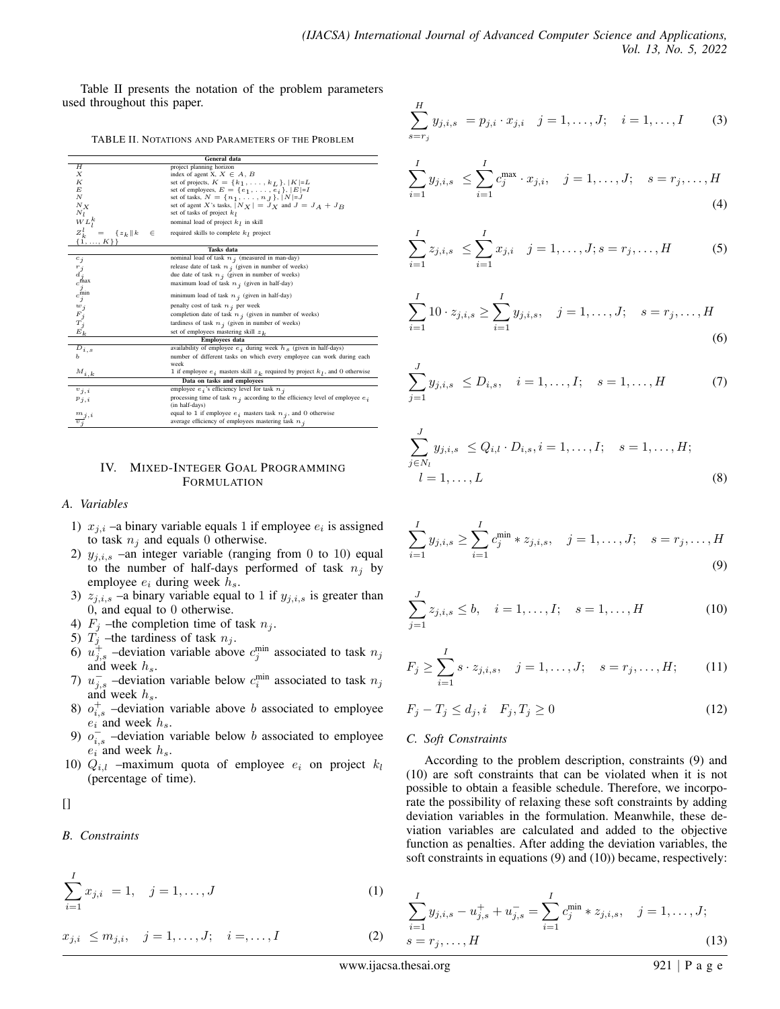Table II presents the notation of the problem parameters used throughout this paper.

TABLE II. NOTATIONS AND PARAMETERS OF THE PROBLEM

|                                                                                                                                 | General data                                                                                             |
|---------------------------------------------------------------------------------------------------------------------------------|----------------------------------------------------------------------------------------------------------|
| Н                                                                                                                               | project planning horizon                                                                                 |
| Х                                                                                                                               | index of agent X, $X \in A$ , B                                                                          |
| К                                                                                                                               | set of projects, $K = \{k_1, , k_L\},  K =L$                                                             |
| E                                                                                                                               | set of employees, $E = \{e_1, \ldots, e_i\},  E =I$                                                      |
| $_{N}$                                                                                                                          | set of tasks, $N = \{n_1, , n_J\},  N =J$                                                                |
| $N_X$                                                                                                                           | set of agent X's tasks, $ N_X  = J_X$ and $J = J_A + J_B$                                                |
| $N_l$                                                                                                                           | set of tasks of project $k_1$                                                                            |
| $WL_l^k$                                                                                                                        | nominal load of project $k_1$ in skill                                                                   |
| $Z_k^l = \{\n\{1, , K\}\n\}$<br>$\{z_k\ k$<br>€                                                                                 | required skills to complete $k_1$ project                                                                |
|                                                                                                                                 |                                                                                                          |
|                                                                                                                                 | <b>Tasks</b> data                                                                                        |
|                                                                                                                                 | nominal load of task $n_i$ (measured in man-day)                                                         |
|                                                                                                                                 | release date of task $n_i$ (given in number of weeks)                                                    |
|                                                                                                                                 | due date of task $n_i$ (given in number of weeks)                                                        |
|                                                                                                                                 | maximum load of task $n_i$ (given in half-day)                                                           |
| $\begin{array}{c} c_j \ r_j \ d_j \ \mathrm{d} \max\limits_{j} \ c_j \min\limits_{j} \ r_j \ m_j \ F_j \ T_j \ E_k \end{array}$ | minimum load of task $n_i$ (given in half-day)                                                           |
|                                                                                                                                 | penalty cost of task $n_i$ per week                                                                      |
|                                                                                                                                 | completion date of task $n_i$ (given in number of weeks)                                                 |
|                                                                                                                                 | tardiness of task $n_i$ (given in number of weeks)                                                       |
|                                                                                                                                 | set of employees mastering skill $z_k$                                                                   |
|                                                                                                                                 | <b>Employees</b> data                                                                                    |
| $D_{i,s}$                                                                                                                       | availability of employee $e_i$ during week $h_s$ (given in half-days)                                    |
| ь                                                                                                                               | number of different tasks on which every employee can work during each                                   |
|                                                                                                                                 | week                                                                                                     |
| $M_{i,k}$                                                                                                                       | $1$ if employee $e_{\,i}\,$ masters skill $z_{\,k}\,$ required by project $k_{\,l}\,,$ and $0$ otherwise |
|                                                                                                                                 | Data on tasks and employees                                                                              |
| $v_{i,i}$                                                                                                                       | employee $e_i$ 's efficiency level for task $n_i$                                                        |
| $p_{j,i}$                                                                                                                       | processing time of task $n_i$ according to the efficiency level of employee $e_i$                        |
|                                                                                                                                 | (in half-days)                                                                                           |
| $\frac{m_j}{v_j}$                                                                                                               | equal to 1 if employee $e_i$ masters task $n_i$ , and 0 otherwise                                        |
|                                                                                                                                 | average efficiency of employees mastering task $n_i$                                                     |

#### IV. MIXED-INTEGER GOAL PROGRAMMING **FORMULATION**

#### *A. Variables*

- 1)  $x_{j,i}$  –a binary variable equals 1 if employee  $e_i$  is assigned to task  $n_i$  and equals 0 otherwise.
- 2)  $y_{j,i,s}$  –an integer variable (ranging from 0 to 10) equal to the number of half-days performed of task  $n_j$  by employee  $e_i$  during week  $h_s$ .
- 3)  $z_{j,i,s}$  –a binary variable equal to 1 if  $y_{j,i,s}$  is greater than 0, and equal to 0 otherwise.
- 4)  $F_j$  –the completion time of task  $n_j$ .
- 5)  $T_j$  –the tardiness of task  $n_j$ .
- 6)  $u_{j,s}^+$  -deviation variable above  $c_j^{\text{min}}$  associated to task  $n_j$ and week  $h_s$ .
- 7)  $u_{j,s}^-$  -deviation variable below  $c_i^{\text{min}}$  associated to task  $n_j$ and week  $h_s$ .
- 8)  $o_{i,s}^+$  -deviation variable above *b* associated to employee  $e_i$  and week  $h_s$ .
- 9)  $o_{i,s}^-$  -deviation variable below b associated to employee  $e_i$  and week  $h_s$ .
- 10)  $Q_{i,l}$  –maximum quota of employee  $e_i$  on project  $k_l$ (percentage of time).

 $\Box$ 

## *B. Constraints*

$$
\sum_{i=1}^{I} x_{j,i} = 1, \quad j = 1, \dots, J
$$
 (1)

 $x_{j,i} \leq m_{j,i}, \quad j = 1, \ldots, J; \quad i =, \ldots, I$  (2)

$$
\sum_{s=r_j}^{H} y_{j,i,s} = p_{j,i} \cdot x_{j,i} \quad j = 1, \dots, J; \quad i = 1, \dots, I \quad (3)
$$

$$
\sum_{i=1}^{I} y_{j,i,s} \leq \sum_{i=1}^{I} c_j^{\max} \cdot x_{j,i}, \quad j = 1, \dots, J; \quad s = r_j, \dots, H
$$
\n(4)

$$
\sum_{i=1}^{I} z_{j,i,s} \leq \sum_{i=1}^{I} x_{j,i} \quad j = 1,\dots, J; s = r_j,\dots, H
$$
 (5)

$$
\sum_{i=1}^{I} 10 \cdot z_{j,i,s} \ge \sum_{i=1}^{I} y_{j,i,s}, \quad j = 1, \dots, J; \quad s = r_j, \dots, H
$$
\n(6)

$$
\sum_{j=1}^{J} y_{j,i,s} \le D_{i,s}, \quad i = 1, \dots, I; \quad s = 1, \dots, H \tag{7}
$$

$$
\sum_{j \in N_l}^{J} y_{j,i,s} \le Q_{i,l} \cdot D_{i,s}, i = 1, \dots, I; \quad s = 1, \dots, H; l = 1, \dots, L
$$
 (8)

$$
\sum_{i=1}^{I} y_{j,i,s} \ge \sum_{i=1}^{I} c_j^{\min} * z_{j,i,s}, \quad j = 1, \dots, J; \quad s = r_j, \dots, H
$$
\n(9)

$$
\sum_{j=1}^{J} z_{j,i,s} \leq b, \quad i = 1, \dots, I; \quad s = 1, \dots, H
$$
 (10)

$$
F_j \ge \sum_{i=1}^{I} s \cdot z_{j,i,s}, \quad j = 1, \dots, J; \quad s = r_j, \dots, H; \tag{11}
$$

$$
F_j - T_j \le d_j, i \quad F_j, T_j \ge 0 \tag{12}
$$

#### *C. Soft Constraints*

According to the problem description, constraints (9) and (10) are soft constraints that can be violated when it is not possible to obtain a feasible schedule. Therefore, we incorporate the possibility of relaxing these soft constraints by adding deviation variables in the formulation. Meanwhile, these deviation variables are calculated and added to the objective function as penalties. After adding the deviation variables, the soft constraints in equations (9) and (10)) became, respectively:

$$
\sum_{i=1}^{I} y_{j,i,s} - u_{j,s}^{+} + u_{j,s}^{-} = \sum_{i=1}^{I} c_j^{\min} * z_{j,i,s}, \quad j = 1, ..., J;
$$
  
 
$$
s = r_j, ..., H
$$
 (13)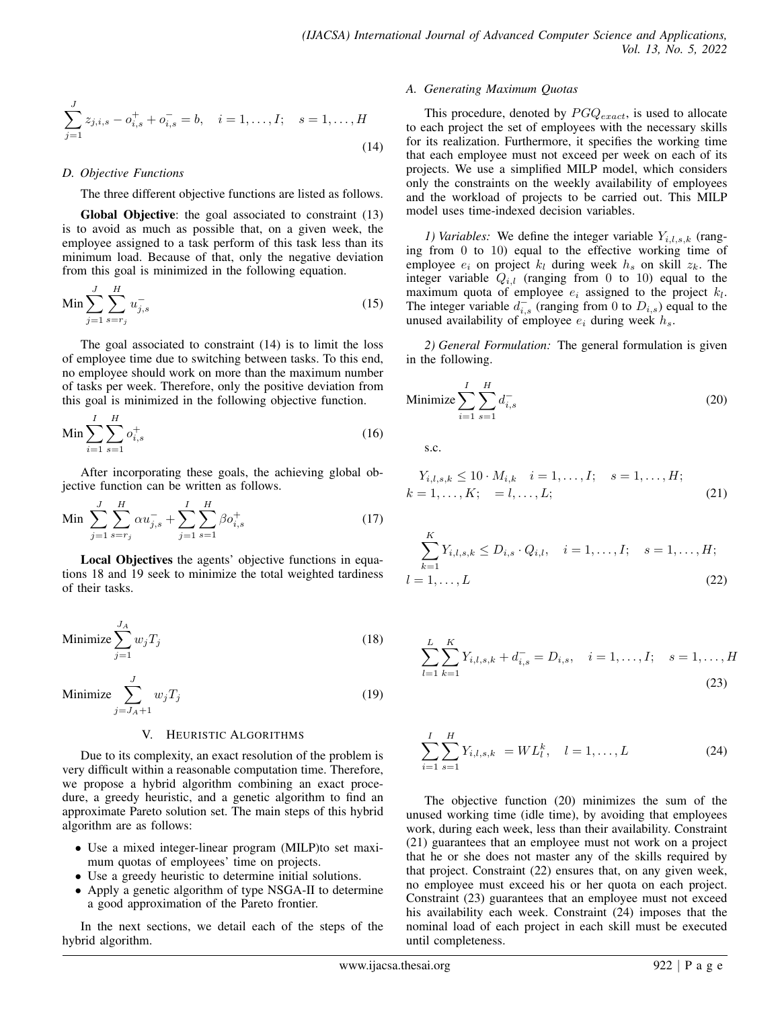$$
\sum_{j=1}^{J} z_{j,i,s} - o_{i,s}^+ + o_{i,s}^- = b, \quad i = 1, \dots, I; \quad s = 1, \dots, H
$$
\n(14)

#### *D. Objective Functions*

The three different objective functions are listed as follows.

Global Objective: the goal associated to constraint (13) is to avoid as much as possible that, on a given week, the employee assigned to a task perform of this task less than its minimum load. Because of that, only the negative deviation from this goal is minimized in the following equation.

$$
\text{Min} \sum_{j=1}^{J} \sum_{s=r_j}^{H} u_{j,s}^{-} \tag{15}
$$

The goal associated to constraint (14) is to limit the loss of employee time due to switching between tasks. To this end, no employee should work on more than the maximum number of tasks per week. Therefore, only the positive deviation from this goal is minimized in the following objective function.

$$
\text{Min} \sum_{i=1}^{I} \sum_{s=1}^{H} o_{i,s}^{+} \tag{16}
$$

After incorporating these goals, the achieving global objective function can be written as follows.

Min 
$$
\sum_{j=1}^{J} \sum_{s=r_j}^{H} \alpha u_{j,s}^- + \sum_{j=1}^{I} \sum_{s=1}^{H} \beta o_{i,s}^+ \tag{17}
$$

Local Objectives the agents' objective functions in equations 18 and 19 seek to minimize the total weighted tardiness of their tasks.

Minimize 
$$
\sum_{j=1}^{J_A} w_j T_j
$$
 (18)

Minimize  $\sum_{i=1}^{J}$  $j = J_A + 1$  $w_jT_j$  (19)

#### V. HEURISTIC ALGORITHMS

Due to its complexity, an exact resolution of the problem is very difficult within a reasonable computation time. Therefore, we propose a hybrid algorithm combining an exact procedure, a greedy heuristic, and a genetic algorithm to find an approximate Pareto solution set. The main steps of this hybrid algorithm are as follows:

- Use a mixed integer-linear program (MILP)to set maximum quotas of employees' time on projects.
- Use a greedy heuristic to determine initial solutions.
- Apply a genetic algorithm of type NSGA-II to determine a good approximation of the Pareto frontier.

In the next sections, we detail each of the steps of the hybrid algorithm.

#### *A. Generating Maximum Quotas*

This procedure, denoted by  $PGQ_{exact}$ , is used to allocate to each project the set of employees with the necessary skills for its realization. Furthermore, it specifies the working time that each employee must not exceed per week on each of its projects. We use a simplified MILP model, which considers only the constraints on the weekly availability of employees and the workload of projects to be carried out. This MILP model uses time-indexed decision variables.

*1) Variables:* We define the integer variable  $Y_{i,l,s,k}$  (ranging from 0 to 10) equal to the effective working time of employee  $e_i$  on project  $k_l$  during week  $h_s$  on skill  $z_k$ . The integer variable  $Q_{i,l}$  (ranging from 0 to 10) equal to the maximum quota of employee  $e_i$  assigned to the project  $k_l$ . The integer variable  $d_{i,s}^-$  (ranging from 0 to  $D_{i,s}$ ) equal to the unused availability of employee  $e_i$  during week  $h_s$ .

*2) General Formulation:* The general formulation is given in the following.

$$
\text{Minimize } \sum_{i=1}^{I} \sum_{s=1}^{H} d_{i,s}^- \tag{20}
$$

s.c.

$$
Y_{i,l,s,k} \le 10 \cdot M_{i,k} \quad i = 1, \dots, I; \quad s = 1, \dots, H; k = 1, \dots, K; \quad = l, \dots, L; \tag{21}
$$

$$
\sum_{k=1}^{K} Y_{i,l,s,k} \le D_{i,s} \cdot Q_{i,l}, \quad i = 1, \dots, I; \quad s = 1, \dots, H; l = 1, \dots, L
$$
 (22)

$$
\sum_{l=1}^{L} \sum_{k=1}^{K} Y_{i,l,s,k} + d_{i,s}^{-} = D_{i,s}, \quad i = 1, \dots, I; \quad s = 1, \dots, H
$$
\n(23)

$$
\sum_{i=1}^{I} \sum_{s=1}^{H} Y_{i,l,s,k} = WL_l^k, \quad l = 1, ..., L
$$
 (24)

The objective function (20) minimizes the sum of the unused working time (idle time), by avoiding that employees work, during each week, less than their availability. Constraint (21) guarantees that an employee must not work on a project that he or she does not master any of the skills required by that project. Constraint (22) ensures that, on any given week, no employee must exceed his or her quota on each project. Constraint (23) guarantees that an employee must not exceed his availability each week. Constraint (24) imposes that the nominal load of each project in each skill must be executed until completeness.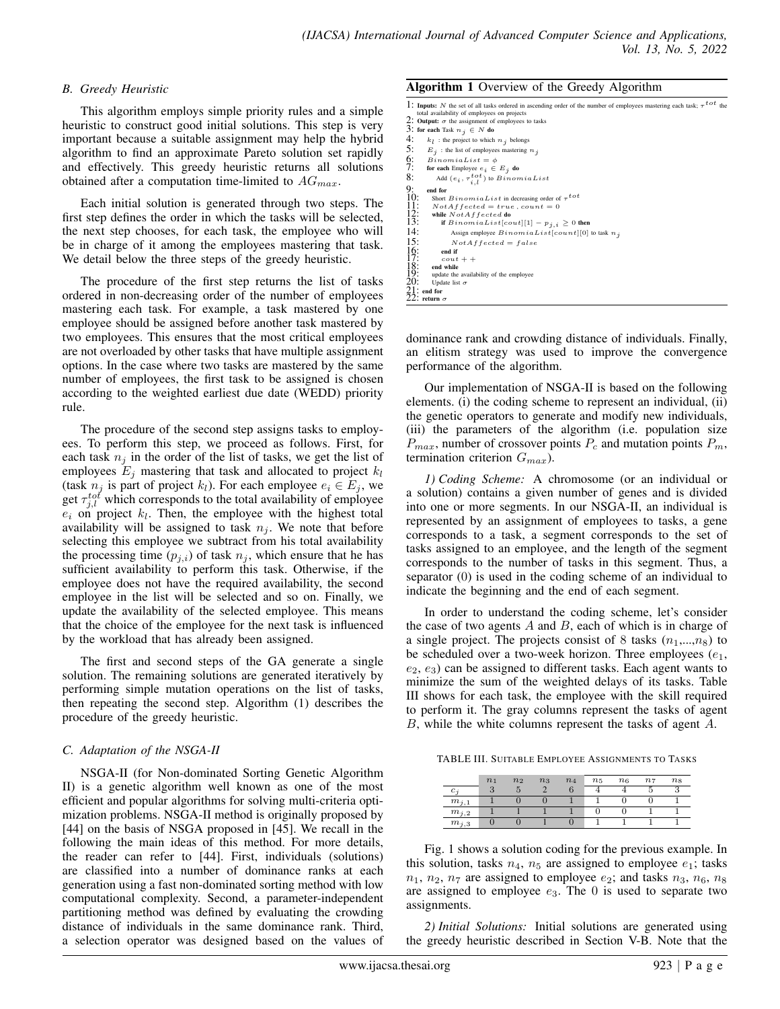## *B. Greedy Heuristic*

This algorithm employs simple priority rules and a simple heuristic to construct good initial solutions. This step is very important because a suitable assignment may help the hybrid algorithm to find an approximate Pareto solution set rapidly and effectively. This greedy heuristic returns all solutions obtained after a computation time-limited to  $AG_{max}$ .

Each initial solution is generated through two steps. The first step defines the order in which the tasks will be selected, the next step chooses, for each task, the employee who will be in charge of it among the employees mastering that task. We detail below the three steps of the greedy heuristic.

The procedure of the first step returns the list of tasks ordered in non-decreasing order of the number of employees mastering each task. For example, a task mastered by one employee should be assigned before another task mastered by two employees. This ensures that the most critical employees are not overloaded by other tasks that have multiple assignment options. In the case where two tasks are mastered by the same number of employees, the first task to be assigned is chosen according to the weighted earliest due date (WEDD) priority rule.

The procedure of the second step assigns tasks to employees. To perform this step, we proceed as follows. First, for each task  $n_j$  in the order of the list of tasks, we get the list of employees  $E_j$  mastering that task and allocated to project  $k_l$ (task  $n_j$  is part of project  $k_l$ ). For each employee  $e_i \in E_j$ , we get  $\tau_{j,l}^{tot}$  which corresponds to the total availability of employee  $e_i$  on project  $k_l$ . Then, the employee with the highest total availability will be assigned to task  $n_j$ . We note that before selecting this employee we subtract from his total availability the processing time  $(p_{i,i})$  of task  $n_i$ , which ensure that he has sufficient availability to perform this task. Otherwise, if the employee does not have the required availability, the second employee in the list will be selected and so on. Finally, we update the availability of the selected employee. This means that the choice of the employee for the next task is influenced by the workload that has already been assigned.

The first and second steps of the GA generate a single solution. The remaining solutions are generated iteratively by performing simple mutation operations on the list of tasks, then repeating the second step. Algorithm (1) describes the procedure of the greedy heuristic.

# *C. Adaptation of the NSGA-II*

NSGA-II (for Non-dominated Sorting Genetic Algorithm II) is a genetic algorithm well known as one of the most efficient and popular algorithms for solving multi-criteria optimization problems. NSGA-II method is originally proposed by [44] on the basis of NSGA proposed in [45]. We recall in the following the main ideas of this method. For more details, the reader can refer to [44]. First, individuals (solutions) are classified into a number of dominance ranks at each generation using a fast non-dominated sorting method with low computational complexity. Second, a parameter-independent partitioning method was defined by evaluating the crowding distance of individuals in the same dominance rank. Third, a selection operator was designed based on the values of

Algorithm 1 Overview of the Greedy Algorithm

| 1: Inputs: N the set of all tasks ordered in ascending order of the number of employees mastering each task; $\tau^{tot}$ the<br>total availability of employees on projects<br>2: Output: $\sigma$ the assignment of employees to tasks<br>3: for each Task $n_j \in N$ do |  |
|-----------------------------------------------------------------------------------------------------------------------------------------------------------------------------------------------------------------------------------------------------------------------------|--|
| 4:<br>$k_l$ : the project to which $n_j$ belongs                                                                                                                                                                                                                            |  |
| 5:<br>$E_j$ : the list of employees mastering $n_j$                                                                                                                                                                                                                         |  |
| $rac{6}{7}$<br>$BinomialList = \phi$                                                                                                                                                                                                                                        |  |
| for each Employee $e_i \in E_i$ do                                                                                                                                                                                                                                          |  |
| 8:<br>Add $(e_i, \tau_{i,l}^{tot})$ to $BinomialList$                                                                                                                                                                                                                       |  |
| 9:<br>10:<br>11:<br>12:<br>13:<br>end for                                                                                                                                                                                                                                   |  |
| Short $BinomialList$ in decreasing order of $\tau^{tot}$                                                                                                                                                                                                                    |  |
| $NotAffected = true$ , count = 0                                                                                                                                                                                                                                            |  |
| while $NotAffected$ do                                                                                                                                                                                                                                                      |  |
| if $BinomialList[count][1] - p_{i,i} \geq 0$ then                                                                                                                                                                                                                           |  |
| 14:<br>Assign employee $BinomialList[count][0]$ to task $n_i$                                                                                                                                                                                                               |  |
| 15:<br>$NotAffected = false$                                                                                                                                                                                                                                                |  |
| $\begin{array}{c} 16: \\ 17: \\ 18: \\ 19: \end{array}$<br>end if                                                                                                                                                                                                           |  |
| $\cot t +$                                                                                                                                                                                                                                                                  |  |
| end while                                                                                                                                                                                                                                                                   |  |
| update the availability of the employee                                                                                                                                                                                                                                     |  |
| 20:<br>Update list $\sigma$                                                                                                                                                                                                                                                 |  |
| $21:$ end for                                                                                                                                                                                                                                                               |  |
| 22: return $\sigma$                                                                                                                                                                                                                                                         |  |

dominance rank and crowding distance of individuals. Finally, an elitism strategy was used to improve the convergence performance of the algorithm.

Our implementation of NSGA-II is based on the following elements. (i) the coding scheme to represent an individual, (ii) the genetic operators to generate and modify new individuals, (iii) the parameters of the algorithm (i.e. population size  $P_{max}$ , number of crossover points  $P_c$  and mutation points  $P_m$ , termination criterion  $G_{max}$ ).

*1) Coding Scheme:* A chromosome (or an individual or a solution) contains a given number of genes and is divided into one or more segments. In our NSGA-II, an individual is represented by an assignment of employees to tasks, a gene corresponds to a task, a segment corresponds to the set of tasks assigned to an employee, and the length of the segment corresponds to the number of tasks in this segment. Thus, a separator (0) is used in the coding scheme of an individual to indicate the beginning and the end of each segment.

In order to understand the coding scheme, let's consider the case of two agents  $A$  and  $B$ , each of which is in charge of a single project. The projects consist of 8 tasks  $(n_1,...,n_8)$  to be scheduled over a two-week horizon. Three employees  $(e_1,$  $e_2, e_3$ ) can be assigned to different tasks. Each agent wants to minimize the sum of the weighted delays of its tasks. Table III shows for each task, the employee with the skill required to perform it. The gray columns represent the tasks of agent B, while the white columns represent the tasks of agent A.

TABLE III. SUITABLE EMPLOYEE ASSIGNMENTS TO TASKS

|           | n <sub>1</sub> | n <sub>2</sub> | n <sub>3</sub> | $n_4$ | $n_5$ | $n_6$ | n <sub>7</sub> | $n_{8}$ |
|-----------|----------------|----------------|----------------|-------|-------|-------|----------------|---------|
| c.        |                |                |                |       |       |       |                |         |
| $m_{i,1}$ |                |                |                |       |       |       |                |         |
| $m_{j,2}$ |                |                |                |       |       |       |                |         |
| $m_{i,3}$ |                |                |                |       |       |       |                |         |

Fig. 1 shows a solution coding for the previous example. In this solution, tasks  $n_4$ ,  $n_5$  are assigned to employee  $e_1$ ; tasks  $n_1$ ,  $n_2$ ,  $n_7$  are assigned to employee  $e_2$ ; and tasks  $n_3$ ,  $n_6$ ,  $n_8$ are assigned to employee  $e_3$ . The 0 is used to separate two assignments.

*2) Initial Solutions:* Initial solutions are generated using the greedy heuristic described in Section V-B. Note that the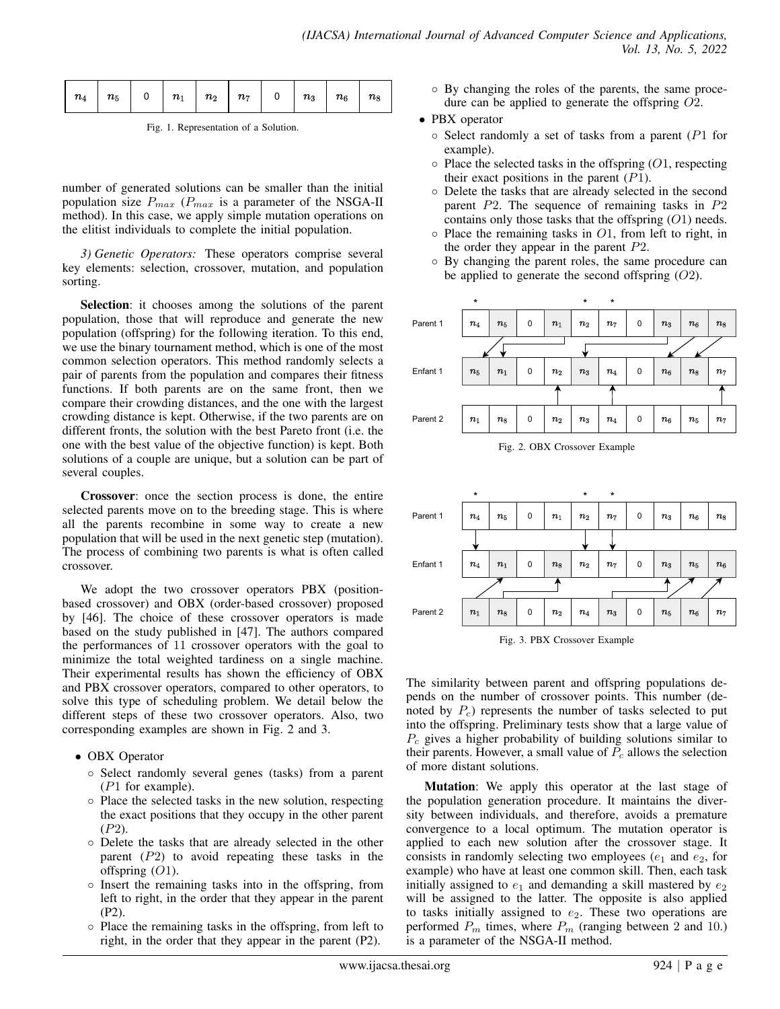|--|--|--|--|--|--|--|--|--|--|

Fig. 1. Representation of a Solution.

number of generated solutions can be smaller than the initial population size  $P_{max}$  ( $P_{max}$  is a parameter of the NSGA-II method). In this case, we apply simple mutation operations on the elitist individuals to complete the initial population.

*3) Genetic Operators:* These operators comprise several key elements: selection, crossover, mutation, and population sorting.

Selection: it chooses among the solutions of the parent population, those that will reproduce and generate the new population (offspring) for the following iteration. To this end, we use the binary tournament method, which is one of the most common selection operators. This method randomly selects a pair of parents from the population and compares their fitness functions. If both parents are on the same front, then we compare their crowding distances, and the one with the largest crowding distance is kept. Otherwise, if the two parents are on different fronts, the solution with the best Pareto front (i.e. the one with the best value of the objective function) is kept. Both solutions of a couple are unique, but a solution can be part of several couples.

Crossover: once the section process is done, the entire selected parents move on to the breeding stage. This is where all the parents recombine in some way to create a new population that will be used in the next genetic step (mutation). The process of combining two parents is what is often called crossover.

We adopt the two crossover operators PBX (positionbased crossover) and OBX (order-based crossover) proposed by [46]. The choice of these crossover operators is made based on the study published in [47]. The authors compared the performances of 11 crossover operators with the goal to minimize the total weighted tardiness on a single machine. Their experimental results has shown the efficiency of OBX and PBX crossover operators, compared to other operators, to solve this type of scheduling problem. We detail below the different steps of these two crossover operators. Also, two corresponding examples are shown in Fig. 2 and 3.

- OBX Operator
	- Select randomly several genes (tasks) from a parent  $(P1$  for example).
	- Place the selected tasks in the new solution, respecting the exact positions that they occupy in the other parent (P2).
	- Delete the tasks that are already selected in the other parent (P2) to avoid repeating these tasks in the offspring  $(O1)$ .
	- Insert the remaining tasks into in the offspring, from left to right, in the order that they appear in the parent (P2).
	- Place the remaining tasks in the offspring, from left to right, in the order that they appear in the parent (P2).
- By changing the roles of the parents, the same procedure can be applied to generate the offspring O2.
- PBX operator
	- $\circ$  Select randomly a set of tasks from a parent (P1 for example).
	- $\circ$  Place the selected tasks in the offspring (O1, respecting their exact positions in the parent  $(P1)$ .
	- Delete the tasks that are already selected in the second parent P2. The sequence of remaining tasks in P2 contains only those tasks that the offspring  $(O1)$  needs.
	- $\circ$  Place the remaining tasks in O1, from left to right, in the order they appear in the parent  $P2$ .
	- By changing the parent roles, the same procedure can be applied to generate the second offspring  $(O2)$ .





Fig. 3. PBX Crossover Example

The similarity between parent and offspring populations depends on the number of crossover points. This number (denoted by  $P_c$ ) represents the number of tasks selected to put into the offspring. Preliminary tests show that a large value of  $P_c$  gives a higher probability of building solutions similar to their parents. However, a small value of  $P_c$  allows the selection of more distant solutions.

Mutation: We apply this operator at the last stage of the population generation procedure. It maintains the diversity between individuals, and therefore, avoids a premature convergence to a local optimum. The mutation operator is applied to each new solution after the crossover stage. It consists in randomly selecting two employees  $(e_1$  and  $e_2$ , for example) who have at least one common skill. Then, each task initially assigned to  $e_1$  and demanding a skill mastered by  $e_2$ will be assigned to the latter. The opposite is also applied to tasks initially assigned to  $e_2$ . These two operations are performed  $P_m$  times, where  $P_m$  (ranging between 2 and 10.) is a parameter of the NSGA-II method.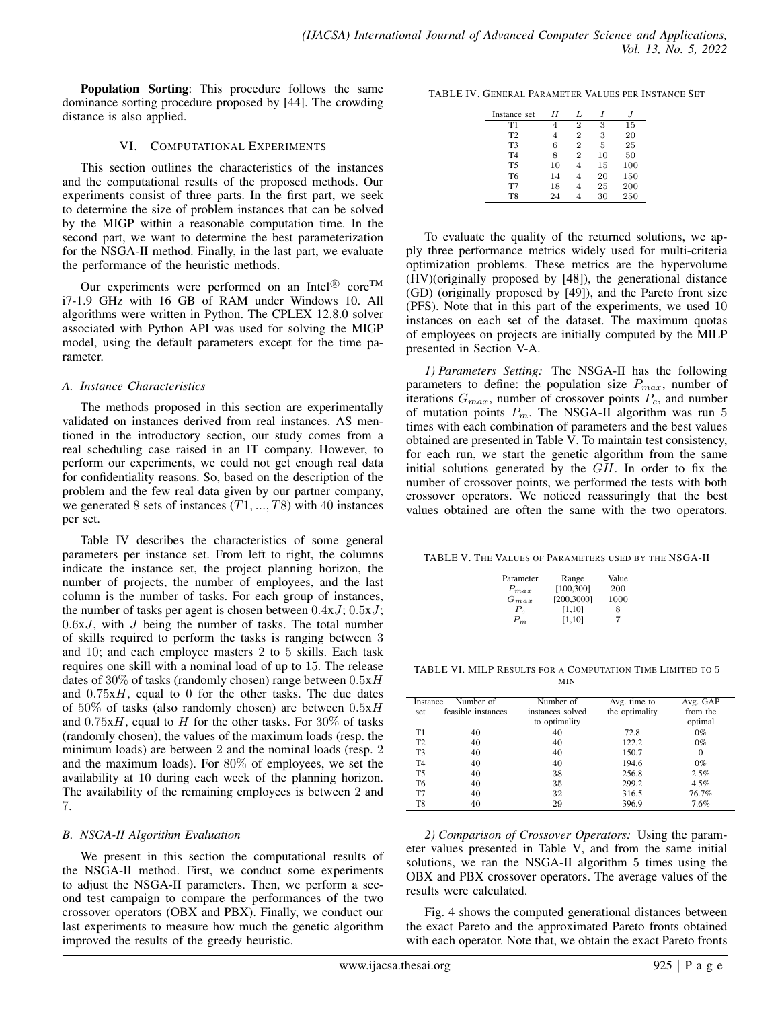Population Sorting: This procedure follows the same dominance sorting procedure proposed by [44]. The crowding distance is also applied.

#### VI. COMPUTATIONAL EXPERIMENTS

This section outlines the characteristics of the instances and the computational results of the proposed methods. Our experiments consist of three parts. In the first part, we seek to determine the size of problem instances that can be solved by the MIGP within a reasonable computation time. In the second part, we want to determine the best parameterization for the NSGA-II method. Finally, in the last part, we evaluate the performance of the heuristic methods.

Our experiments were performed on an Intel<sup>®</sup> core<sup>TM</sup> i7-1.9 GHz with 16 GB of RAM under Windows 10. All algorithms were written in Python. The CPLEX 12.8.0 solver associated with Python API was used for solving the MIGP model, using the default parameters except for the time parameter.

## *A. Instance Characteristics*

The methods proposed in this section are experimentally validated on instances derived from real instances. AS mentioned in the introductory section, our study comes from a real scheduling case raised in an IT company. However, to perform our experiments, we could not get enough real data for confidentiality reasons. So, based on the description of the problem and the few real data given by our partner company, we generated 8 sets of instances  $(T1, ..., T8)$  with 40 instances per set.

Table IV describes the characteristics of some general parameters per instance set. From left to right, the columns indicate the instance set, the project planning horizon, the number of projects, the number of employees, and the last column is the number of tasks. For each group of instances, the number of tasks per agent is chosen between  $0.4xJ$ ;  $0.5xJ$ ;  $0.6xJ$ , with J being the number of tasks. The total number of skills required to perform the tasks is ranging between 3 and 10; and each employee masters 2 to 5 skills. Each task requires one skill with a nominal load of up to 15. The release dates of 30% of tasks (randomly chosen) range between  $0.5xH$ and  $0.75xH$ , equal to 0 for the other tasks. The due dates of  $50\%$  of tasks (also randomly chosen) are between  $0.5xH$ and  $0.75xH$ , equal to H for the other tasks. For 30% of tasks (randomly chosen), the values of the maximum loads (resp. the minimum loads) are between 2 and the nominal loads (resp. 2 and the maximum loads). For 80% of employees, we set the availability at 10 during each week of the planning horizon. The availability of the remaining employees is between 2 and 7.

# *B. NSGA-II Algorithm Evaluation*

We present in this section the computational results of the NSGA-II method. First, we conduct some experiments to adjust the NSGA-II parameters. Then, we perform a second test campaign to compare the performances of the two crossover operators (OBX and PBX). Finally, we conduct our last experiments to measure how much the genetic algorithm improved the results of the greedy heuristic.

TABLE IV. GENERAL PARAMETER VALUES PER INSTANCE SET

| Instance set   | Η  | Τ.             |    |     |
|----------------|----|----------------|----|-----|
| T1             |    | $\overline{2}$ | 3  | 15  |
| T <sub>2</sub> | 4  | $\overline{2}$ | 3  | 20  |
| T <sub>3</sub> | 6  | $\overline{2}$ | 5  | 25  |
| T <sub>4</sub> | 8  | $\overline{2}$ | 10 | 50  |
| T <sub>5</sub> | 10 |                | 15 | 100 |
| T <sub>6</sub> | 14 |                | 20 | 150 |
| T7             | 18 |                | 25 | 200 |
| T <sub>8</sub> | 24 |                | 30 | 250 |

To evaluate the quality of the returned solutions, we apply three performance metrics widely used for multi-criteria optimization problems. These metrics are the hypervolume (HV)(originally proposed by [48]), the generational distance (GD) (originally proposed by [49]), and the Pareto front size (PFS). Note that in this part of the experiments, we used 10 instances on each set of the dataset. The maximum quotas of employees on projects are initially computed by the MILP presented in Section V-A.

*1) Parameters Setting:* The NSGA-II has the following parameters to define: the population size  $P_{max}$ , number of iterations  $G_{max}$ , number of crossover points  $P_c$ , and number of mutation points  $P_m$ . The NSGA-II algorithm was run 5 times with each combination of parameters and the best values obtained are presented in Table V. To maintain test consistency, for each run, we start the genetic algorithm from the same initial solutions generated by the  $GH$ . In order to fix the number of crossover points, we performed the tests with both crossover operators. We noticed reassuringly that the best values obtained are often the same with the two operators.

TABLE V. THE VALUES OF PARAMETERS USED BY THE NSGA-II

| Parameter | Range      | Value |
|-----------|------------|-------|
| $P_{max}$ | [100,300]  | 200   |
| $G_{max}$ | [200,3000] | 1000  |
| Р.        | [1, 10]    | 8     |
| $P_m$     | [1, 10]    |       |

TABLE VI. MILP RESULTS FOR A COMPUTATION TIME LIMITED TO 5 MIN

|                 |                                 | Number of        |                                |                      |
|-----------------|---------------------------------|------------------|--------------------------------|----------------------|
| Instance<br>set | Number of<br>feasible instances | instances solved | Avg. time to<br>the optimality | Avg. GAP<br>from the |
|                 |                                 | to optimality    |                                | optimal              |
| Τ1              | 40                              | 40               | 72.8                           | $0\%$                |
| T <sub>2</sub>  | 40                              | 40               | 122.2                          | $0\%$                |
| T3              | 40                              | 40               | 150.7                          | 0                    |
| T <sub>4</sub>  | 40                              | 40               | 194.6                          | $0\%$                |
| T5              | 40                              | 38               | 256.8                          | 2.5%                 |
| T6              | 40                              | 35               | 299.2                          | $4.5\%$              |
| T7              | 40                              | 32               | 316.5                          | 76.7%                |
| T8              | 40                              | 29               | 396.9                          | 7.6%                 |

*2) Comparison of Crossover Operators:* Using the parameter values presented in Table V, and from the same initial solutions, we ran the NSGA-II algorithm 5 times using the OBX and PBX crossover operators. The average values of the results were calculated.

Fig. 4 shows the computed generational distances between the exact Pareto and the approximated Pareto fronts obtained with each operator. Note that, we obtain the exact Pareto fronts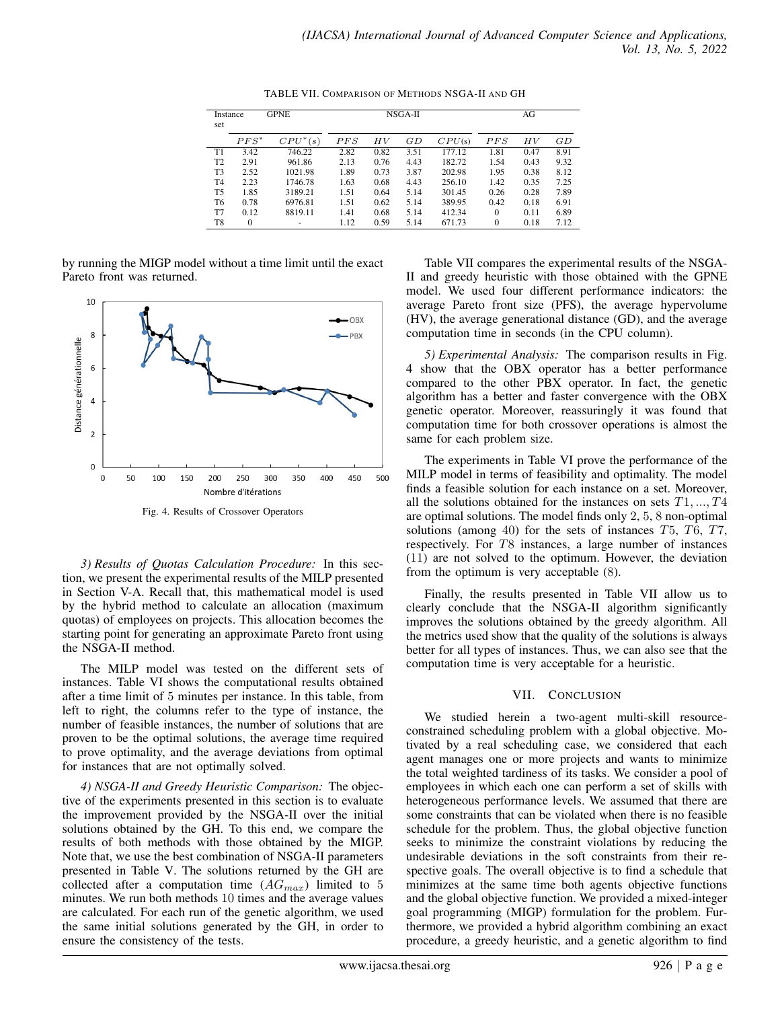| Instance<br>set |         | <b>GPNE</b> |      |      | NSGA-II | AG     |          |      |      |
|-----------------|---------|-------------|------|------|---------|--------|----------|------|------|
|                 | $PFS^*$ | $CPU^*(s)$  | PFS  | ΗV   | GD      | CPU(s) | PFS      | НV   | GD   |
| T1              | 3.42    | 746.22      | 2.82 | 0.82 | 3.51    | 177.12 | 1.81     | 0.47 | 8.91 |
| T <sub>2</sub>  | 2.91    | 961.86      | 2.13 | 0.76 | 4.43    | 182.72 | 1.54     | 0.43 | 9.32 |
| T <sub>3</sub>  | 2.52    | 1021.98     | 1.89 | 0.73 | 3.87    | 202.98 | 1.95     | 0.38 | 8.12 |
| T <sub>4</sub>  | 2.23    | 1746.78     | 1.63 | 0.68 | 4.43    | 256.10 | 1.42     | 0.35 | 7.25 |
| T5              | 1.85    | 3189.21     | 1.51 | 0.64 | 5.14    | 301.45 | 0.26     | 0.28 | 7.89 |
| T6              | 0.78    | 6976.81     | 1.51 | 0.62 | 5.14    | 389.95 | 0.42     | 0.18 | 6.91 |
| T7              | 0.12    | 8819.11     | 1.41 | 0.68 | 5.14    | 412.34 | $\Omega$ | 0.11 | 6.89 |
| T8              | 0       |             | 1.12 | 0.59 | 5.14    | 671.73 | $\Omega$ | 0.18 | 7.12 |

TABLE VII. COMPARISON OF METHODS NSGA-II AND GH

by running the MIGP model without a time limit until the exact Pareto front was returned.



Fig. 4. Results of Crossover Operators

*3) Results of Quotas Calculation Procedure:* In this section, we present the experimental results of the MILP presented in Section V-A. Recall that, this mathematical model is used by the hybrid method to calculate an allocation (maximum quotas) of employees on projects. This allocation becomes the starting point for generating an approximate Pareto front using the NSGA-II method.

The MILP model was tested on the different sets of instances. Table VI shows the computational results obtained after a time limit of 5 minutes per instance. In this table, from left to right, the columns refer to the type of instance, the number of feasible instances, the number of solutions that are proven to be the optimal solutions, the average time required to prove optimality, and the average deviations from optimal for instances that are not optimally solved.

*4) NSGA-II and Greedy Heuristic Comparison:* The objective of the experiments presented in this section is to evaluate the improvement provided by the NSGA-II over the initial solutions obtained by the GH. To this end, we compare the results of both methods with those obtained by the MIGP. Note that, we use the best combination of NSGA-II parameters presented in Table V. The solutions returned by the GH are collected after a computation time  $(AG_{max})$  limited to 5 minutes. We run both methods 10 times and the average values are calculated. For each run of the genetic algorithm, we used the same initial solutions generated by the GH, in order to ensure the consistency of the tests.

Table VII compares the experimental results of the NSGA-II and greedy heuristic with those obtained with the GPNE model. We used four different performance indicators: the average Pareto front size (PFS), the average hypervolume (HV), the average generational distance (GD), and the average computation time in seconds (in the CPU column).

*5) Experimental Analysis:* The comparison results in Fig. 4 show that the OBX operator has a better performance compared to the other PBX operator. In fact, the genetic algorithm has a better and faster convergence with the OBX genetic operator. Moreover, reassuringly it was found that computation time for both crossover operations is almost the same for each problem size.

The experiments in Table VI prove the performance of the MILP model in terms of feasibility and optimality. The model finds a feasible solution for each instance on a set. Moreover, all the solutions obtained for the instances on sets  $T1, \ldots, T4$ are optimal solutions. The model finds only 2, 5, 8 non-optimal solutions (among 40) for the sets of instances T5, T6, T7, respectively. For T8 instances, a large number of instances (11) are not solved to the optimum. However, the deviation from the optimum is very acceptable (8).

Finally, the results presented in Table VII allow us to clearly conclude that the NSGA-II algorithm significantly improves the solutions obtained by the greedy algorithm. All the metrics used show that the quality of the solutions is always better for all types of instances. Thus, we can also see that the computation time is very acceptable for a heuristic.

## VII. CONCLUSION

We studied herein a two-agent multi-skill resourceconstrained scheduling problem with a global objective. Motivated by a real scheduling case, we considered that each agent manages one or more projects and wants to minimize the total weighted tardiness of its tasks. We consider a pool of employees in which each one can perform a set of skills with heterogeneous performance levels. We assumed that there are some constraints that can be violated when there is no feasible schedule for the problem. Thus, the global objective function seeks to minimize the constraint violations by reducing the undesirable deviations in the soft constraints from their respective goals. The overall objective is to find a schedule that minimizes at the same time both agents objective functions and the global objective function. We provided a mixed-integer goal programming (MIGP) formulation for the problem. Furthermore, we provided a hybrid algorithm combining an exact procedure, a greedy heuristic, and a genetic algorithm to find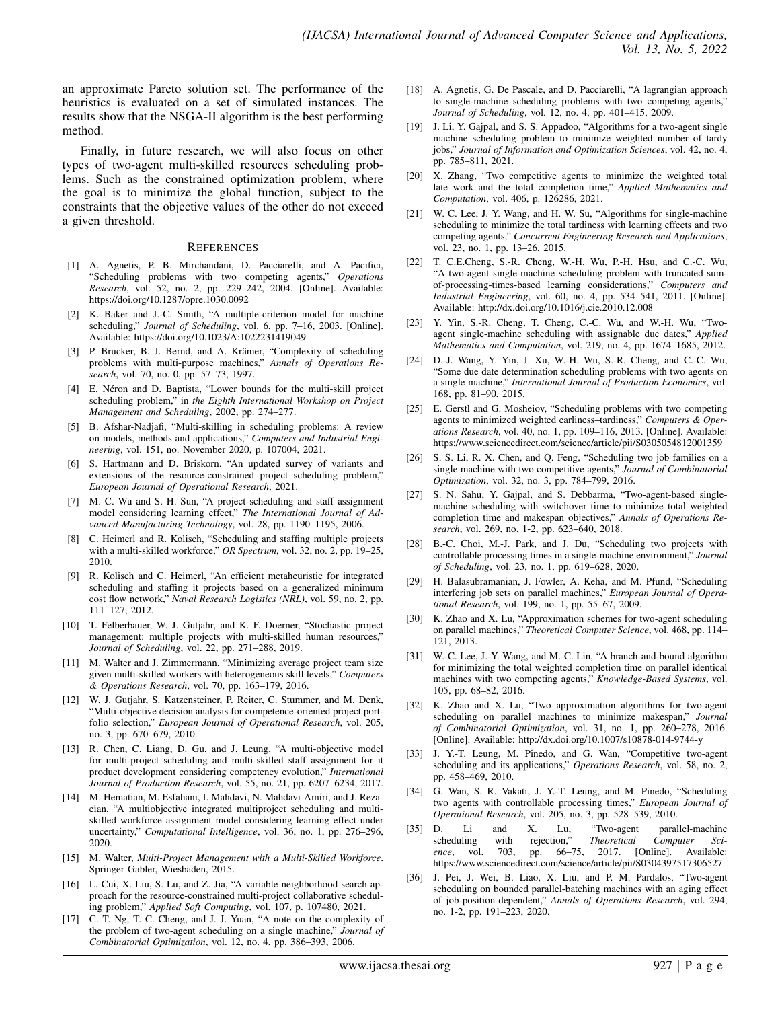an approximate Pareto solution set. The performance of the heuristics is evaluated on a set of simulated instances. The results show that the NSGA-II algorithm is the best performing method.

Finally, in future research, we will also focus on other types of two-agent multi-skilled resources scheduling problems. Such as the constrained optimization problem, where the goal is to minimize the global function, subject to the constraints that the objective values of the other do not exceed a given threshold.

#### **REFERENCES**

- [1] A. Agnetis, P. B. Mirchandani, D. Pacciarelli, and A. Pacifici, "Scheduling problems with two competing agents," *Operations Research*, vol. 52, no. 2, pp. 229–242, 2004. [Online]. Available: https://doi.org/10.1287/opre.1030.0092
- [2] K. Baker and J.-C. Smith, "A multiple-criterion model for machine scheduling," *Journal of Scheduling*, vol. 6, pp. 7–16, 2003. [Online]. Available: https://doi.org/10.1023/A:1022231419049
- [3] P. Brucker, B. J. Bernd, and A. Krämer, "Complexity of scheduling problems with multi-purpose machines," *Annals of Operations Research*, vol. 70, no. 0, pp. 57–73, 1997.
- [4] E. Néron and D. Baptista, "Lower bounds for the multi-skill project scheduling problem," in *the Eighth International Workshop on Project Management and Scheduling*, 2002, pp. 274–277.
- [5] B. Afshar-Nadjafi, "Multi-skilling in scheduling problems: A review on models, methods and applications," *Computers and Industrial Engineering*, vol. 151, no. November 2020, p. 107004, 2021.
- [6] S. Hartmann and D. Briskorn, "An updated survey of variants and extensions of the resource-constrained project scheduling problem," *European Journal of Operational Research*, 2021.
- [7] M. C. Wu and S. H. Sun, "A project scheduling and staff assignment model considering learning effect," *The International Journal of Advanced Manufacturing Technology*, vol. 28, pp. 1190–1195, 2006.
- [8] C. Heimerl and R. Kolisch, "Scheduling and staffing multiple projects with a multi-skilled workforce," *OR Spectrum*, vol. 32, no. 2, pp. 19–25, 2010.
- [9] R. Kolisch and C. Heimerl, "An efficient metaheuristic for integrated scheduling and staffing it projects based on a generalized minimum cost flow network," *Naval Research Logistics (NRL)*, vol. 59, no. 2, pp. 111–127, 2012.
- [10] T. Felberbauer, W. J. Gutjahr, and K. F. Doerner, "Stochastic project management: multiple projects with multi-skilled human resources," *Journal of Scheduling*, vol. 22, pp. 271–288, 2019.
- [11] M. Walter and J. Zimmermann, "Minimizing average project team size given multi-skilled workers with heterogeneous skill levels," *Computers & Operations Research*, vol. 70, pp. 163–179, 2016.
- [12] W. J. Gutjahr, S. Katzensteiner, P. Reiter, C. Stummer, and M. Denk, "Multi-objective decision analysis for competence-oriented project portfolio selection," *European Journal of Operational Research*, vol. 205, no. 3, pp. 670–679, 2010.
- [13] R. Chen, C. Liang, D. Gu, and J. Leung, "A multi-objective model for multi-project scheduling and multi-skilled staff assignment for it product development considering competency evolution," *International Journal of Production Research*, vol. 55, no. 21, pp. 6207–6234, 2017.
- [14] M. Hematian, M. Esfahani, I. Mahdavi, N. Mahdavi-Amiri, and J. Rezaeian, "A multiobjective integrated multiproject scheduling and multiskilled workforce assignment model considering learning effect under uncertainty," *Computational Intelligence*, vol. 36, no. 1, pp. 276–296, 2020.
- [15] M. Walter, *Multi-Project Management with a Multi-Skilled Workforce*. Springer Gabler, Wiesbaden, 2015.
- [16] L. Cui, X. Liu, S. Lu, and Z. Jia, "A variable neighborhood search approach for the resource-constrained multi-project collaborative scheduling problem," *Applied Soft Computing*, vol. 107, p. 107480, 2021.
- [17] C. T. Ng, T. C. Cheng, and J. J. Yuan, "A note on the complexity of the problem of two-agent scheduling on a single machine," *Journal of Combinatorial Optimization*, vol. 12, no. 4, pp. 386–393, 2006.
- [18] A. Agnetis, G. De Pascale, and D. Pacciarelli, "A lagrangian approach to single-machine scheduling problems with two competing agents," *Journal of Scheduling*, vol. 12, no. 4, pp. 401–415, 2009.
- [19] J. Li, Y. Gajpal, and S. S. Appadoo, "Algorithms for a two-agent single machine scheduling problem to minimize weighted number of tardy jobs," *Journal of Information and Optimization Sciences*, vol. 42, no. 4, pp. 785–811, 2021.
- [20] X. Zhang, "Two competitive agents to minimize the weighted total late work and the total completion time," *Applied Mathematics and Computation*, vol. 406, p. 126286, 2021.
- [21] W. C. Lee, J. Y. Wang, and H. W. Su, "Algorithms for single-machine scheduling to minimize the total tardiness with learning effects and two competing agents," *Concurrent Engineering Research and Applications*, vol. 23, no. 1, pp. 13–26, 2015.
- [22] T. C.E.Cheng, S.-R. Cheng, W.-H. Wu, P.-H. Hsu, and C.-C. Wu, "A two-agent single-machine scheduling problem with truncated sumof-processing-times-based learning considerations," *Computers and Industrial Engineering*, vol. 60, no. 4, pp. 534–541, 2011. [Online]. Available: http://dx.doi.org/10.1016/j.cie.2010.12.008
- [23] Y. Yin, S.-R. Cheng, T. Cheng, C.-C. Wu, and W.-H. Wu, "Twoagent single-machine scheduling with assignable due dates," *Applied Mathematics and Computation*, vol. 219, no. 4, pp. 1674–1685, 2012.
- [24] D.-J. Wang, Y. Yin, J. Xu, W.-H. Wu, S.-R. Cheng, and C.-C. Wu, "Some due date determination scheduling problems with two agents on a single machine," *International Journal of Production Economics*, vol. 168, pp. 81–90, 2015.
- [25] E. Gerstl and G. Mosheiov, "Scheduling problems with two competing agents to minimized weighted earliness–tardiness," *Computers & Operations Research*, vol. 40, no. 1, pp. 109–116, 2013. [Online]. Available: https://www.sciencedirect.com/science/article/pii/S0305054812001359
- [26] S. S. Li, R. X. Chen, and Q. Feng, "Scheduling two job families on a single machine with two competitive agents," *Journal of Combinatorial Optimization*, vol. 32, no. 3, pp. 784–799, 2016.
- [27] S. N. Sahu, Y. Gajpal, and S. Debbarma, "Two-agent-based singlemachine scheduling with switchover time to minimize total weighted completion time and makespan objectives," *Annals of Operations Research*, vol. 269, no. 1-2, pp. 623–640, 2018.
- [28] B.-C. Choi, M.-J. Park, and J. Du, "Scheduling two projects with controllable processing times in a single-machine environment," *Journal of Scheduling*, vol. 23, no. 1, pp. 619–628, 2020.
- [29] H. Balasubramanian, J. Fowler, A. Keha, and M. Pfund, "Scheduling interfering job sets on parallel machines," *European Journal of Operational Research*, vol. 199, no. 1, pp. 55–67, 2009.
- [30] K. Zhao and X. Lu, "Approximation schemes for two-agent scheduling on parallel machines," *Theoretical Computer Science*, vol. 468, pp. 114– 121, 2013.
- [31] W.-C. Lee, J.-Y. Wang, and M.-C. Lin, "A branch-and-bound algorithm for minimizing the total weighted completion time on parallel identical machines with two competing agents," *Knowledge-Based Systems*, vol. 105, pp. 68–82, 2016.
- [32] K. Zhao and X. Lu, "Two approximation algorithms for two-agent scheduling on parallel machines to minimize makespan," *Journal of Combinatorial Optimization*, vol. 31, no. 1, pp. 260–278, 2016. [Online]. Available: http://dx.doi.org/10.1007/s10878-014-9744-y
- [33] J. Y.-T. Leung, M. Pinedo, and G. Wan, "Competitive two-agent scheduling and its applications," *Operations Research*, vol. 58, no. 2, pp. 458–469, 2010.
- [34] G. Wan, S. R. Vakati, J. Y.-T. Leung, and M. Pinedo, "Scheduling two agents with controllable processing times," *European Journal of Operational Research*, vol. 205, no. 3, pp. 528–539, 2010.
- [35] D. Li and X. Lu, "Two-agent parallel-machine scheduling with rejection," *Theoretical Computer Science*, vol. 703, pp. 66–75, 2017. [Online]. Available: https://www.sciencedirect.com/science/article/pii/S0304397517306527
- [36] J. Pei, J. Wei, B. Liao, X. Liu, and P. M. Pardalos, "Two-agent scheduling on bounded parallel-batching machines with an aging effect of job-position-dependent," *Annals of Operations Research*, vol. 294, no. 1-2, pp. 191–223, 2020.